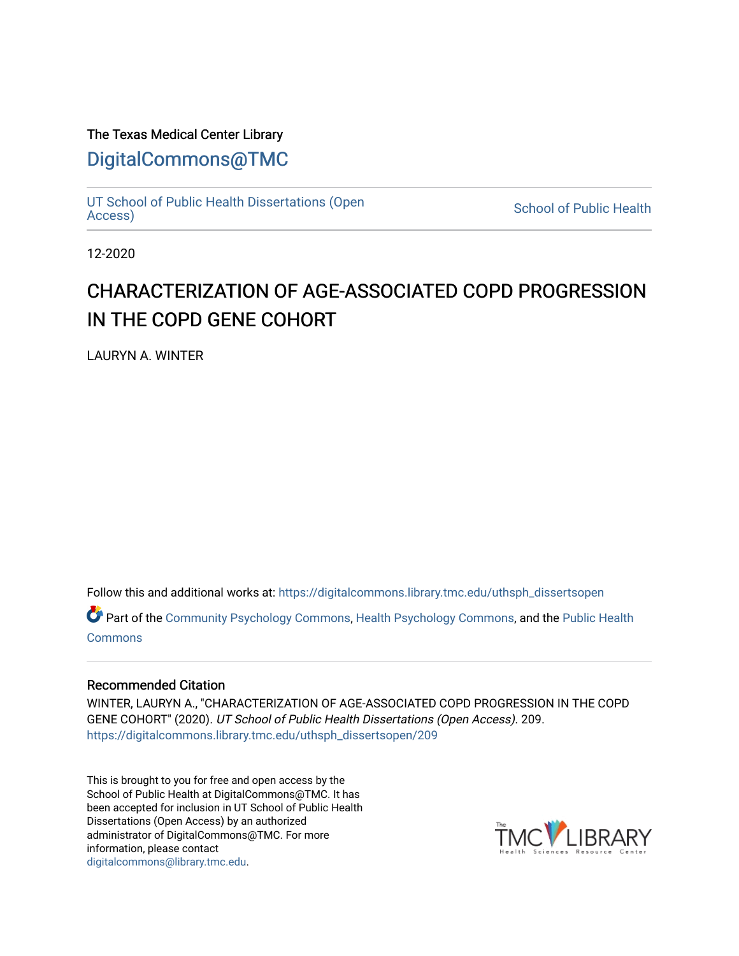# The Texas Medical Center Library

# [DigitalCommons@TMC](https://digitalcommons.library.tmc.edu/)

[UT School of Public Health Dissertations \(Open](https://digitalcommons.library.tmc.edu/uthsph_dissertsopen)

**School of Public Health** 

12-2020

# CHARACTERIZATION OF AGE-ASSOCIATED COPD PROGRESSION IN THE COPD GENE COHORT

LAURYN A. WINTER

Follow this and additional works at: [https://digitalcommons.library.tmc.edu/uthsph\\_dissertsopen](https://digitalcommons.library.tmc.edu/uthsph_dissertsopen?utm_source=digitalcommons.library.tmc.edu%2Futhsph_dissertsopen%2F209&utm_medium=PDF&utm_campaign=PDFCoverPages) 

Part of the [Community Psychology Commons,](http://network.bepress.com/hgg/discipline/409?utm_source=digitalcommons.library.tmc.edu%2Futhsph_dissertsopen%2F209&utm_medium=PDF&utm_campaign=PDFCoverPages) [Health Psychology Commons](http://network.bepress.com/hgg/discipline/411?utm_source=digitalcommons.library.tmc.edu%2Futhsph_dissertsopen%2F209&utm_medium=PDF&utm_campaign=PDFCoverPages), and the [Public Health](http://network.bepress.com/hgg/discipline/738?utm_source=digitalcommons.library.tmc.edu%2Futhsph_dissertsopen%2F209&utm_medium=PDF&utm_campaign=PDFCoverPages) **[Commons](http://network.bepress.com/hgg/discipline/738?utm_source=digitalcommons.library.tmc.edu%2Futhsph_dissertsopen%2F209&utm_medium=PDF&utm_campaign=PDFCoverPages)** 

## Recommended Citation

WINTER, LAURYN A., "CHARACTERIZATION OF AGE-ASSOCIATED COPD PROGRESSION IN THE COPD GENE COHORT" (2020). UT School of Public Health Dissertations (Open Access). 209. [https://digitalcommons.library.tmc.edu/uthsph\\_dissertsopen/209](https://digitalcommons.library.tmc.edu/uthsph_dissertsopen/209?utm_source=digitalcommons.library.tmc.edu%2Futhsph_dissertsopen%2F209&utm_medium=PDF&utm_campaign=PDFCoverPages) 

This is brought to you for free and open access by the School of Public Health at DigitalCommons@TMC. It has been accepted for inclusion in UT School of Public Health Dissertations (Open Access) by an authorized administrator of DigitalCommons@TMC. For more information, please contact [digitalcommons@library.tmc.edu](mailto:digitalcommons@library.tmc.edu).

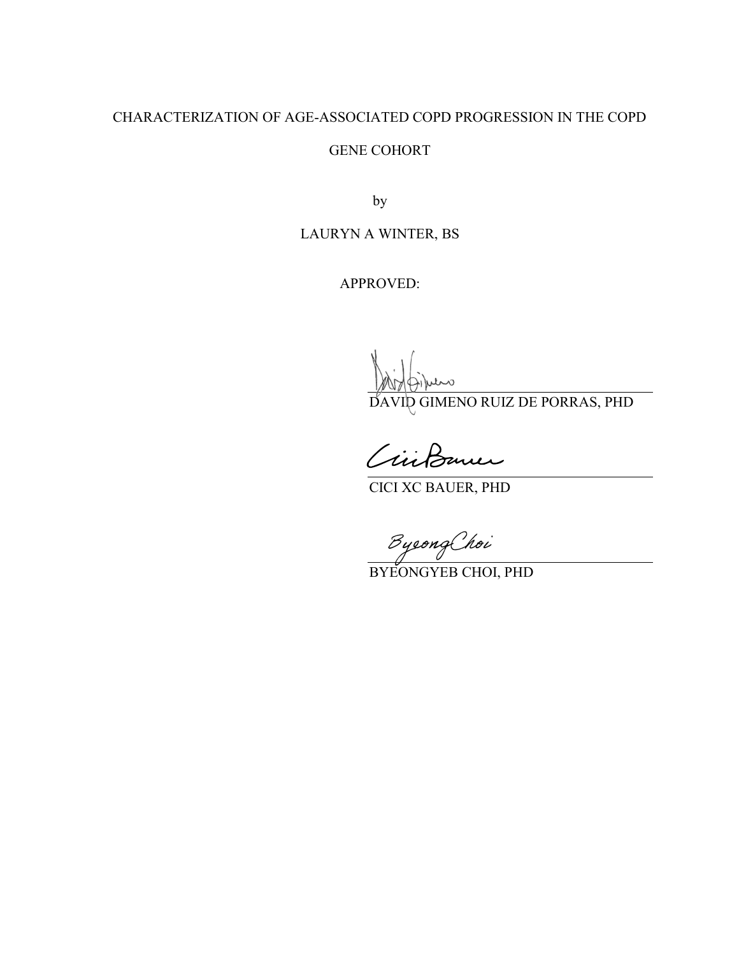# CHARACTERIZATION OF AGE-ASSOCIATED COPD PROGRESSION IN THE COPD

#### GENE COHORT

by

# LAURYN A WINTER, BS

APPROVED:

ane

DAVID GIMENO RUIZ DE PORRAS, PHD

Civildamer

CICI XC BAUER, PHD

ByeongChoi

BYEONGYEB CHOI, PHD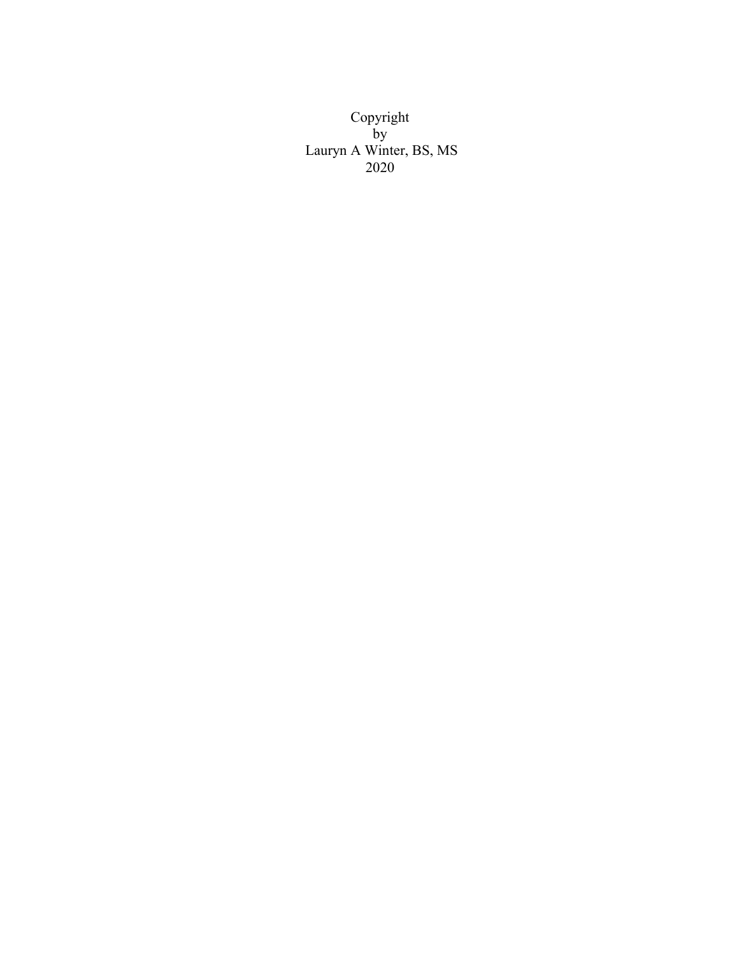Copyright by Lauryn A Winter, BS, MS 2020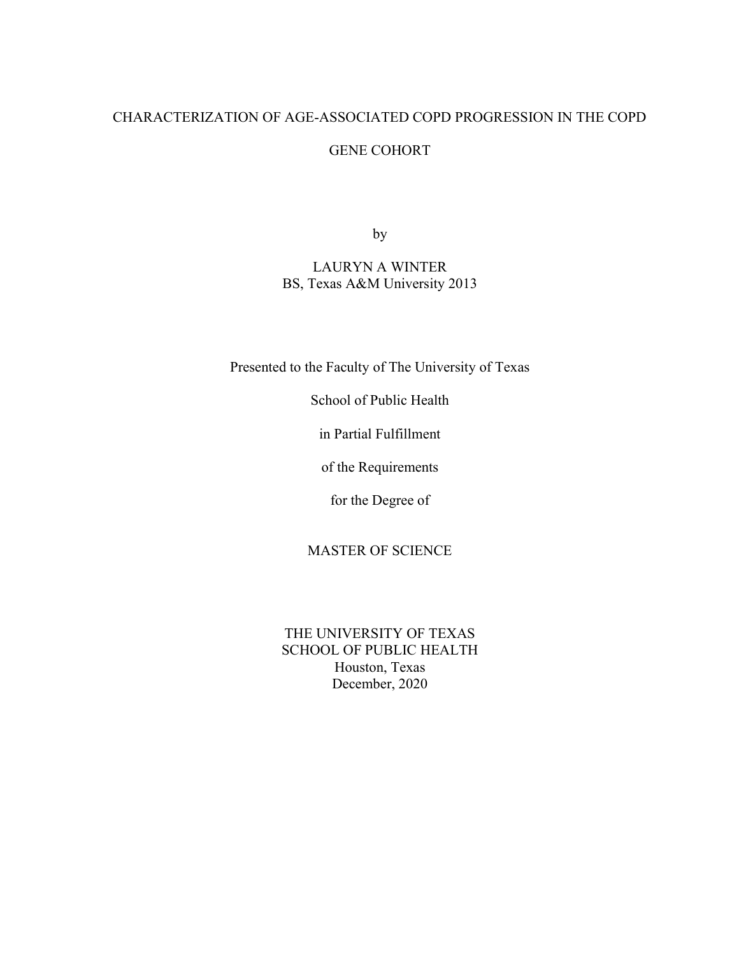# CHARACTERIZATION OF AGE-ASSOCIATED COPD PROGRESSION IN THE COPD

### GENE COHORT

by

# LAURYN A WINTER BS, Texas A&M University 2013

Presented to the Faculty of The University of Texas

School of Public Health

in Partial Fulfillment

of the Requirements

for the Degree of

### MASTER OF SCIENCE

THE UNIVERSITY OF TEXAS SCHOOL OF PUBLIC HEALTH Houston, Texas December, 2020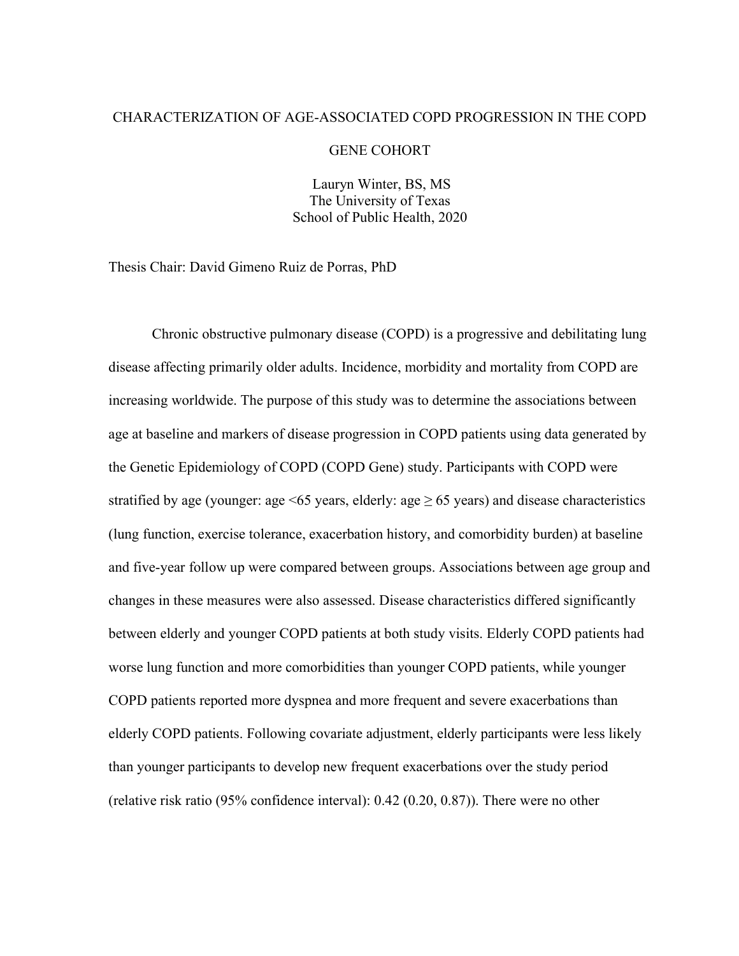#### CHARACTERIZATION OF AGE-ASSOCIATED COPD PROGRESSION IN THE COPD

#### GENE COHORT

Lauryn Winter, BS, MS The University of Texas School of Public Health, 2020

Thesis Chair: David Gimeno Ruiz de Porras, PhD

Chronic obstructive pulmonary disease (COPD) is a progressive and debilitating lung disease affecting primarily older adults. Incidence, morbidity and mortality from COPD are increasing worldwide. The purpose of this study was to determine the associations between age at baseline and markers of disease progression in COPD patients using data generated by the Genetic Epidemiology of COPD (COPD Gene) study. Participants with COPD were stratified by age (younger: age  $\leq 65$  years, elderly: age  $\geq 65$  years) and disease characteristics (lung function, exercise tolerance, exacerbation history, and comorbidity burden) at baseline and five-year follow up were compared between groups. Associations between age group and changes in these measures were also assessed. Disease characteristics differed significantly between elderly and younger COPD patients at both study visits. Elderly COPD patients had worse lung function and more comorbidities than younger COPD patients, while younger COPD patients reported more dyspnea and more frequent and severe exacerbations than elderly COPD patients. Following covariate adjustment, elderly participants were less likely than younger participants to develop new frequent exacerbations over the study period (relative risk ratio (95% confidence interval): 0.42 (0.20, 0.87)). There were no other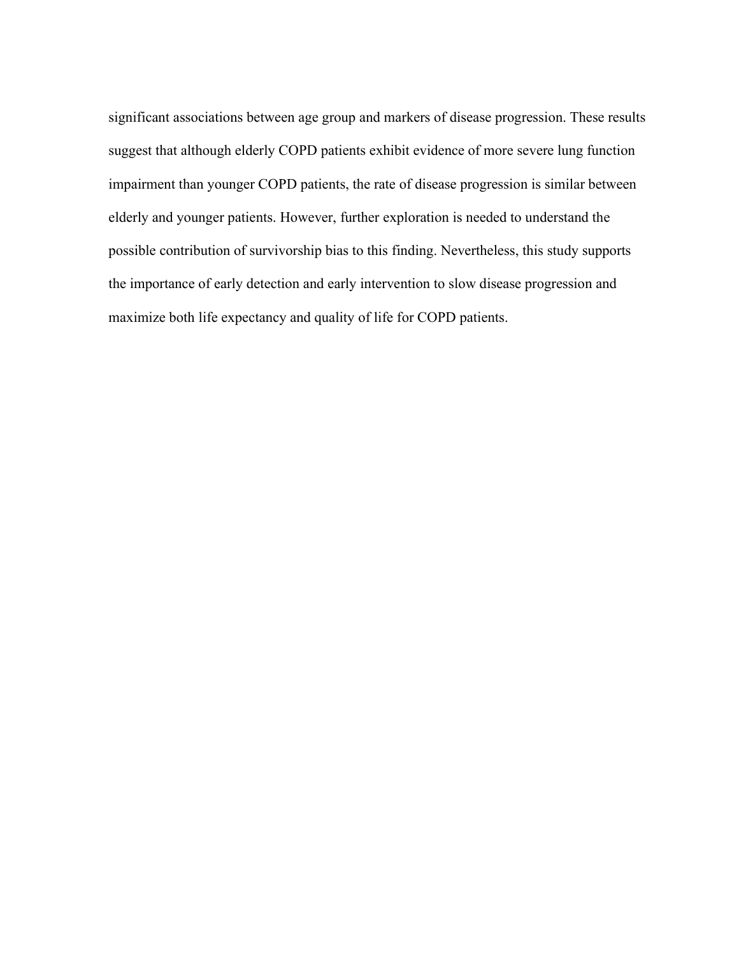significant associations between age group and markers of disease progression. These results suggest that although elderly COPD patients exhibit evidence of more severe lung function impairment than younger COPD patients, the rate of disease progression is similar between elderly and younger patients. However, further exploration is needed to understand the possible contribution of survivorship bias to this finding. Nevertheless, this study supports the importance of early detection and early intervention to slow disease progression and maximize both life expectancy and quality of life for COPD patients.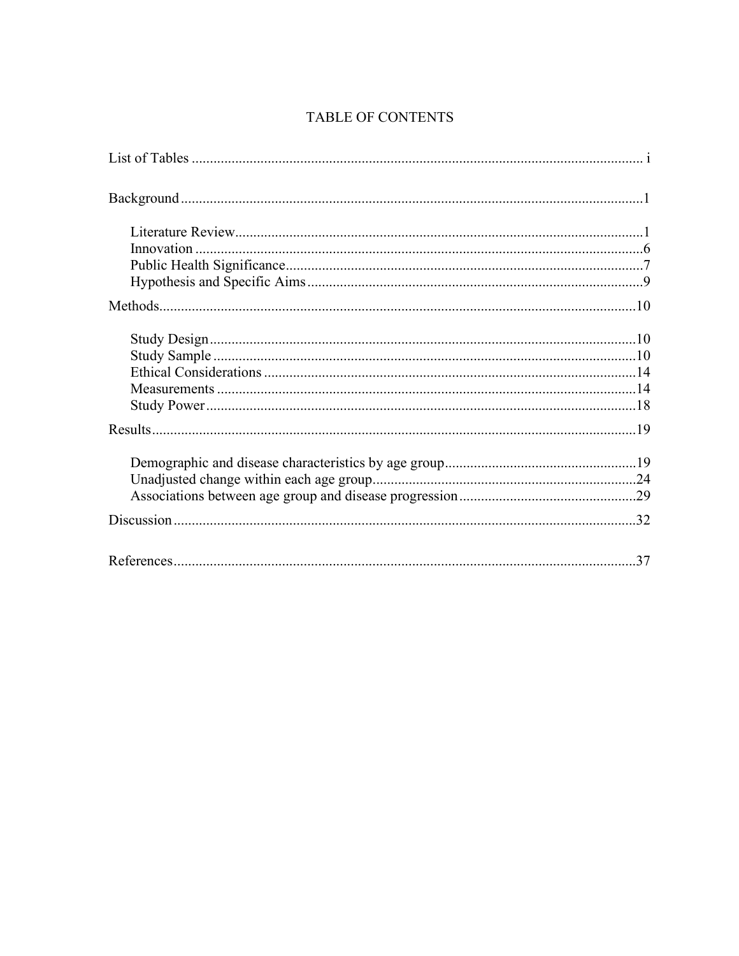# TABLE OF CONTENTS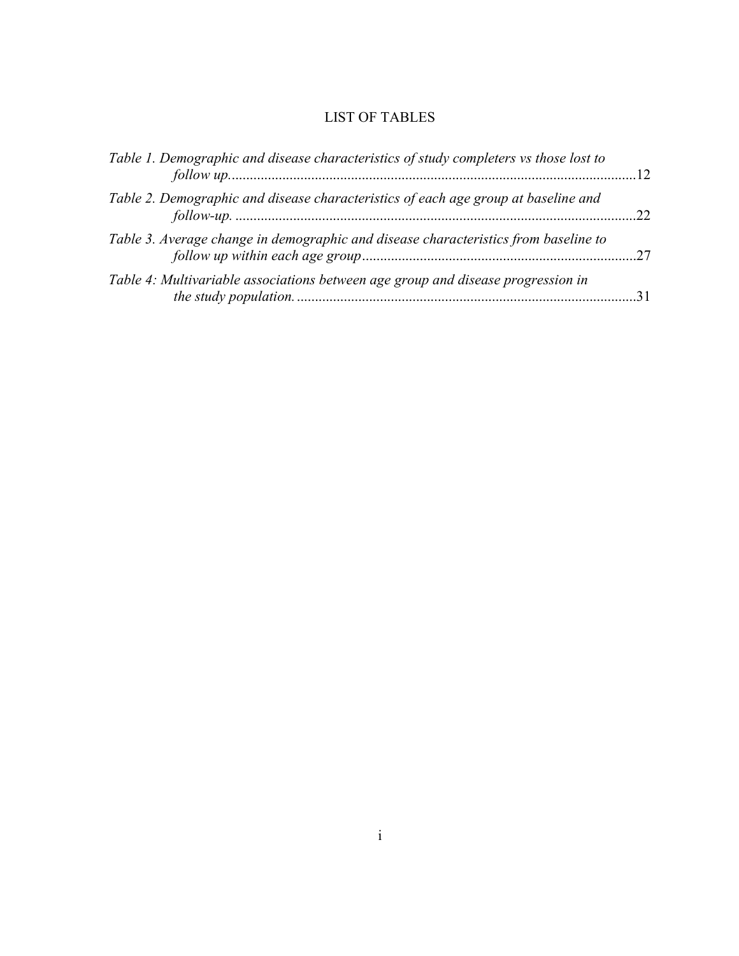# LIST OF TABLES

| Table 1. Demographic and disease characteristics of study completers vs those lost to<br>follow up. 12 |  |
|--------------------------------------------------------------------------------------------------------|--|
| Table 2. Demographic and disease characteristics of each age group at baseline and                     |  |
| Table 3. Average change in demographic and disease characteristics from baseline to                    |  |
| Table 4: Multivariable associations between age group and disease progression in                       |  |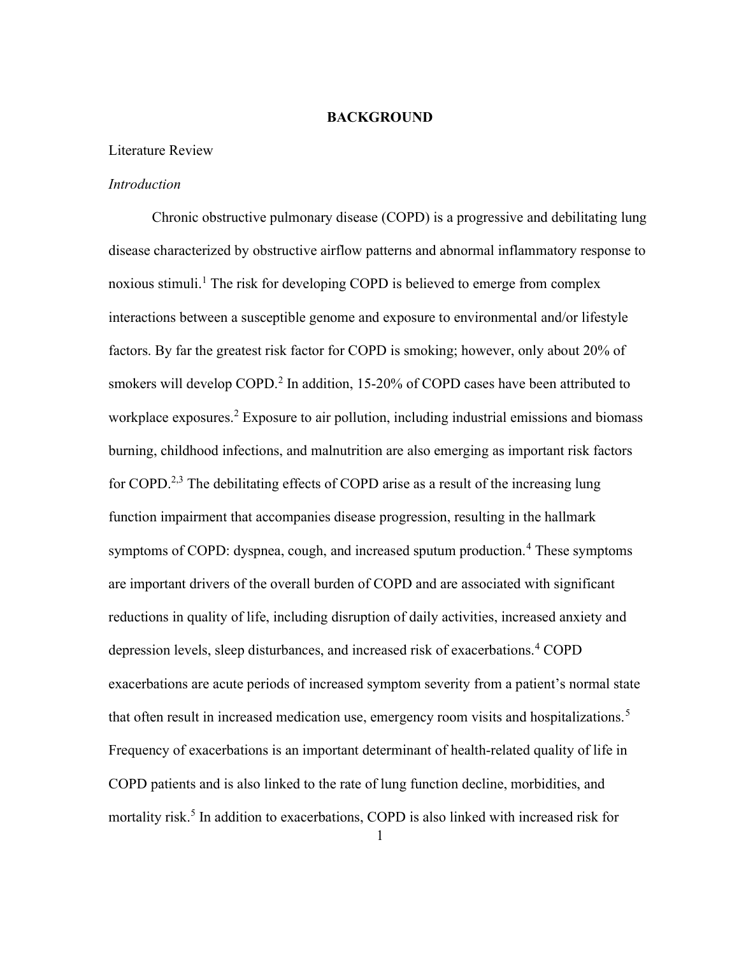#### BACKGROUND

#### Literature Review

#### **Introduction**

Chronic obstructive pulmonary disease (COPD) is a progressive and debilitating lung disease characterized by obstructive airflow patterns and abnormal inflammatory response to noxious stimuli.<sup>1</sup> The risk for developing COPD is believed to emerge from complex interactions between a susceptible genome and exposure to environmental and/or lifestyle factors. By far the greatest risk factor for COPD is smoking; however, only about 20% of smokers will develop COPD.<sup>2</sup> In addition, 15-20% of COPD cases have been attributed to workplace exposures.<sup>2</sup> Exposure to air pollution, including industrial emissions and biomass burning, childhood infections, and malnutrition are also emerging as important risk factors for COPD.<sup>2,3</sup> The debilitating effects of COPD arise as a result of the increasing lung function impairment that accompanies disease progression, resulting in the hallmark symptoms of COPD: dyspnea, cough, and increased sputum production.<sup>4</sup> These symptoms are important drivers of the overall burden of COPD and are associated with significant reductions in quality of life, including disruption of daily activities, increased anxiety and depression levels, sleep disturbances, and increased risk of exacerbations.<sup>4</sup> COPD exacerbations are acute periods of increased symptom severity from a patient's normal state that often result in increased medication use, emergency room visits and hospitalizations.<sup>5</sup> Frequency of exacerbations is an important determinant of health-related quality of life in COPD patients and is also linked to the rate of lung function decline, morbidities, and mortality risk.<sup>5</sup> In addition to exacerbations, COPD is also linked with increased risk for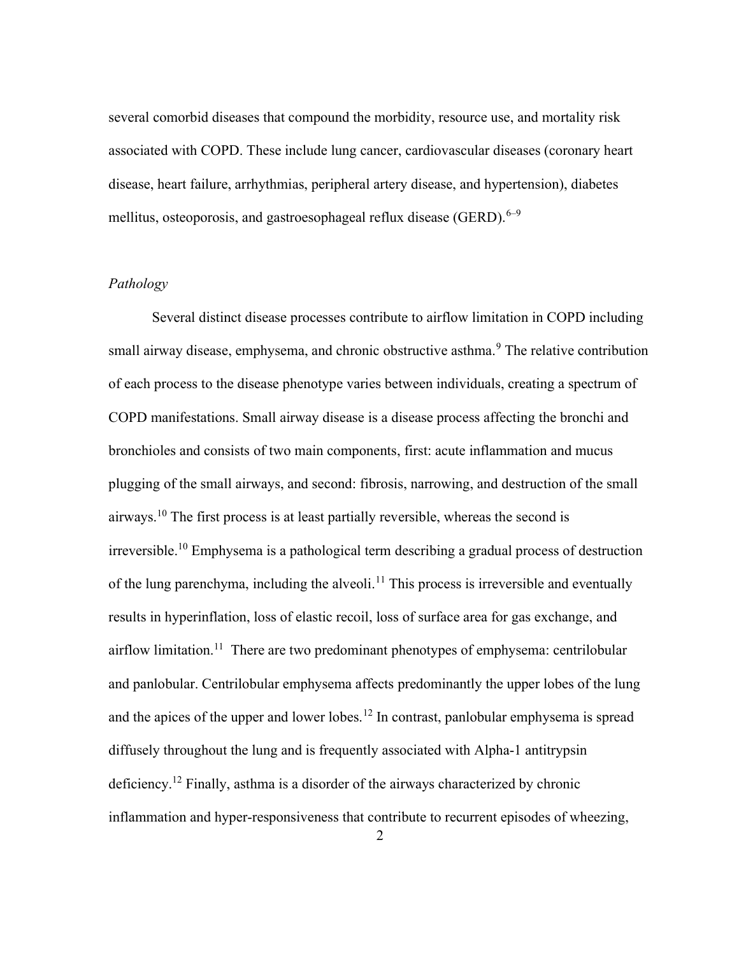several comorbid diseases that compound the morbidity, resource use, and mortality risk associated with COPD. These include lung cancer, cardiovascular diseases (coronary heart disease, heart failure, arrhythmias, peripheral artery disease, and hypertension), diabetes mellitus, osteoporosis, and gastroesophageal reflux disease (GERD).  $6-9$ 

#### Pathology

Several distinct disease processes contribute to airflow limitation in COPD including small airway disease, emphysema, and chronic obstructive asthma.<sup>9</sup> The relative contribution of each process to the disease phenotype varies between individuals, creating a spectrum of COPD manifestations. Small airway disease is a disease process affecting the bronchi and bronchioles and consists of two main components, first: acute inflammation and mucus plugging of the small airways, and second: fibrosis, narrowing, and destruction of the small airways.<sup>10</sup> The first process is at least partially reversible, whereas the second is irreversible.<sup>10</sup> Emphysema is a pathological term describing a gradual process of destruction of the lung parenchyma, including the alveoli.<sup>11</sup> This process is irreversible and eventually results in hyperinflation, loss of elastic recoil, loss of surface area for gas exchange, and airflow limitation.<sup>11</sup> There are two predominant phenotypes of emphysema: centrilobular and panlobular. Centrilobular emphysema affects predominantly the upper lobes of the lung and the apices of the upper and lower lobes.<sup>12</sup> In contrast, panlobular emphysema is spread diffusely throughout the lung and is frequently associated with Alpha-1 antitrypsin deficiency.<sup>12</sup> Finally, asthma is a disorder of the airways characterized by chronic inflammation and hyper-responsiveness that contribute to recurrent episodes of wheezing,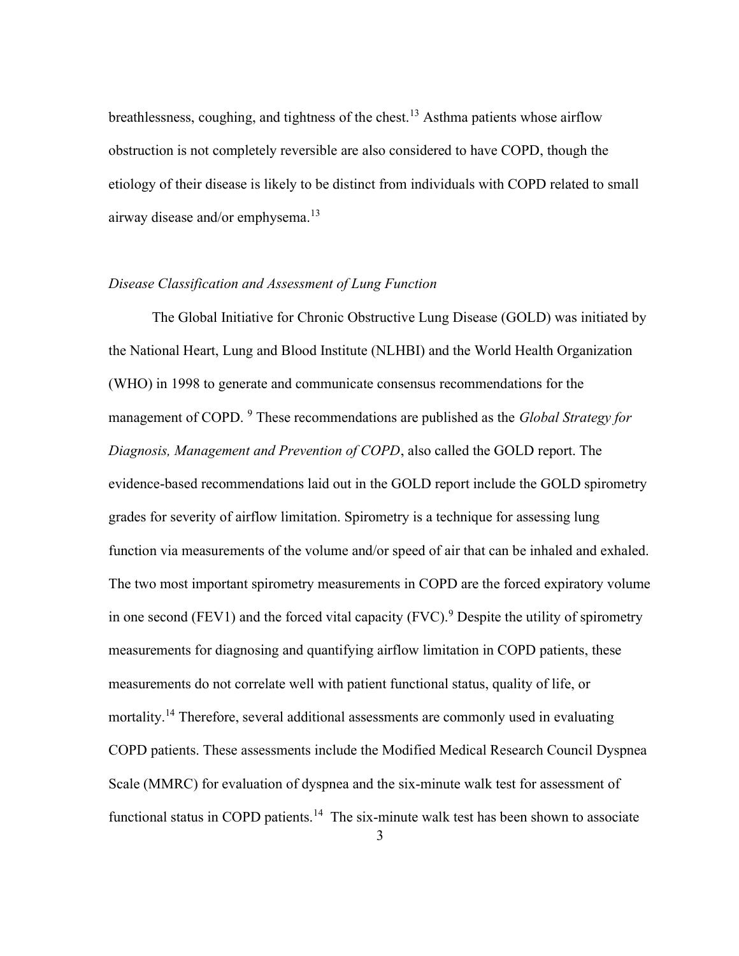breathlessness, coughing, and tightness of the chest.<sup>13</sup> Asthma patients whose airflow obstruction is not completely reversible are also considered to have COPD, though the etiology of their disease is likely to be distinct from individuals with COPD related to small airway disease and/or emphysema.<sup>13</sup>

#### Disease Classification and Assessment of Lung Function

The Global Initiative for Chronic Obstructive Lung Disease (GOLD) was initiated by the National Heart, Lung and Blood Institute (NLHBI) and the World Health Organization (WHO) in 1998 to generate and communicate consensus recommendations for the management of COPD. <sup>9</sup> These recommendations are published as the *Global Strategy for* Diagnosis, Management and Prevention of COPD, also called the GOLD report. The evidence-based recommendations laid out in the GOLD report include the GOLD spirometry grades for severity of airflow limitation. Spirometry is a technique for assessing lung function via measurements of the volume and/or speed of air that can be inhaled and exhaled. The two most important spirometry measurements in COPD are the forced expiratory volume in one second (FEV1) and the forced vital capacity (FVC).<sup>9</sup> Despite the utility of spirometry measurements for diagnosing and quantifying airflow limitation in COPD patients, these measurements do not correlate well with patient functional status, quality of life, or mortality.<sup>14</sup> Therefore, several additional assessments are commonly used in evaluating COPD patients. These assessments include the Modified Medical Research Council Dyspnea Scale (MMRC) for evaluation of dyspnea and the six-minute walk test for assessment of functional status in COPD patients.<sup>14</sup> The six-minute walk test has been shown to associate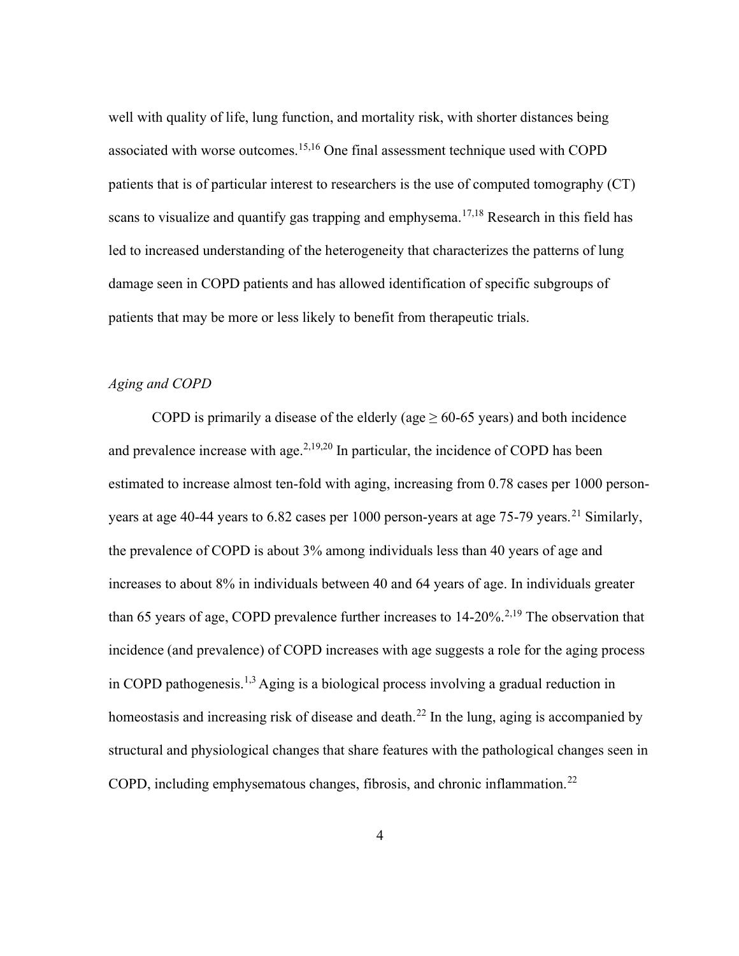well with quality of life, lung function, and mortality risk, with shorter distances being associated with worse outcomes.<sup>15,16</sup> One final assessment technique used with COPD patients that is of particular interest to researchers is the use of computed tomography (CT) scans to visualize and quantify gas trapping and emphysema.<sup>17,18</sup> Research in this field has led to increased understanding of the heterogeneity that characterizes the patterns of lung damage seen in COPD patients and has allowed identification of specific subgroups of patients that may be more or less likely to benefit from therapeutic trials.

#### Aging and COPD

COPD is primarily a disease of the elderly (age  $\geq 60{\text -}65$  years) and both incidence and prevalence increase with age. $^{2,19,20}$  In particular, the incidence of COPD has been estimated to increase almost ten-fold with aging, increasing from 0.78 cases per 1000 personyears at age 40-44 years to 6.82 cases per 1000 person-years at age 75-79 years.<sup>21</sup> Similarly, the prevalence of COPD is about 3% among individuals less than 40 years of age and increases to about 8% in individuals between 40 and 64 years of age. In individuals greater than 65 years of age, COPD prevalence further increases to  $14{\text -}20\%$ <sup>2,19</sup> The observation that incidence (and prevalence) of COPD increases with age suggests a role for the aging process in COPD pathogenesis.<sup>1,3</sup> Aging is a biological process involving a gradual reduction in homeostasis and increasing risk of disease and death.<sup>22</sup> In the lung, aging is accompanied by structural and physiological changes that share features with the pathological changes seen in COPD, including emphysematous changes, fibrosis, and chronic inflammation.<sup>22</sup>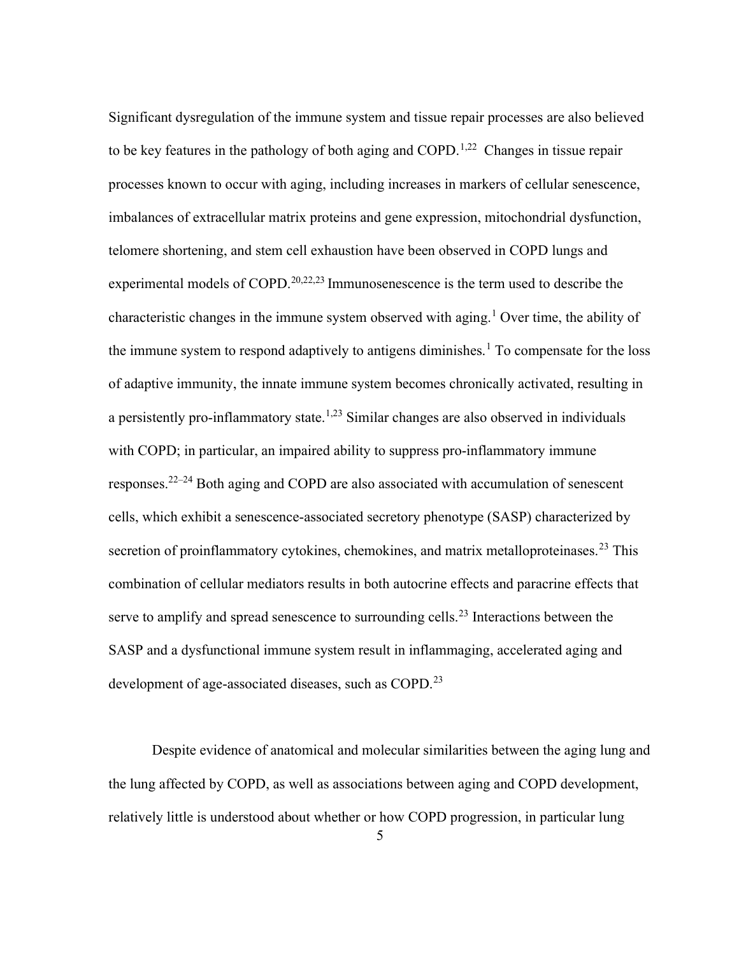Significant dysregulation of the immune system and tissue repair processes are also believed to be key features in the pathology of both aging and COPD.<sup>1,22</sup> Changes in tissue repair processes known to occur with aging, including increases in markers of cellular senescence, imbalances of extracellular matrix proteins and gene expression, mitochondrial dysfunction, telomere shortening, and stem cell exhaustion have been observed in COPD lungs and experimental models of COPD.<sup>20,22,23</sup> Immunosenescence is the term used to describe the characteristic changes in the immune system observed with aging.<sup>1</sup> Over time, the ability of the immune system to respond adaptively to antigens diminishes.<sup>1</sup> To compensate for the loss of adaptive immunity, the innate immune system becomes chronically activated, resulting in a persistently pro-inflammatory state.<sup>1,23</sup> Similar changes are also observed in individuals with COPD; in particular, an impaired ability to suppress pro-inflammatory immune responses.<sup>22–24</sup> Both aging and COPD are also associated with accumulation of senescent cells, which exhibit a senescence-associated secretory phenotype (SASP) characterized by secretion of proinflammatory cytokines, chemokines, and matrix metalloproteinases.<sup>23</sup> This combination of cellular mediators results in both autocrine effects and paracrine effects that serve to amplify and spread senescence to surrounding cells.<sup>23</sup> Interactions between the SASP and a dysfunctional immune system result in inflammaging, accelerated aging and development of age-associated diseases, such as COPD.<sup>23</sup>

Despite evidence of anatomical and molecular similarities between the aging lung and the lung affected by COPD, as well as associations between aging and COPD development, relatively little is understood about whether or how COPD progression, in particular lung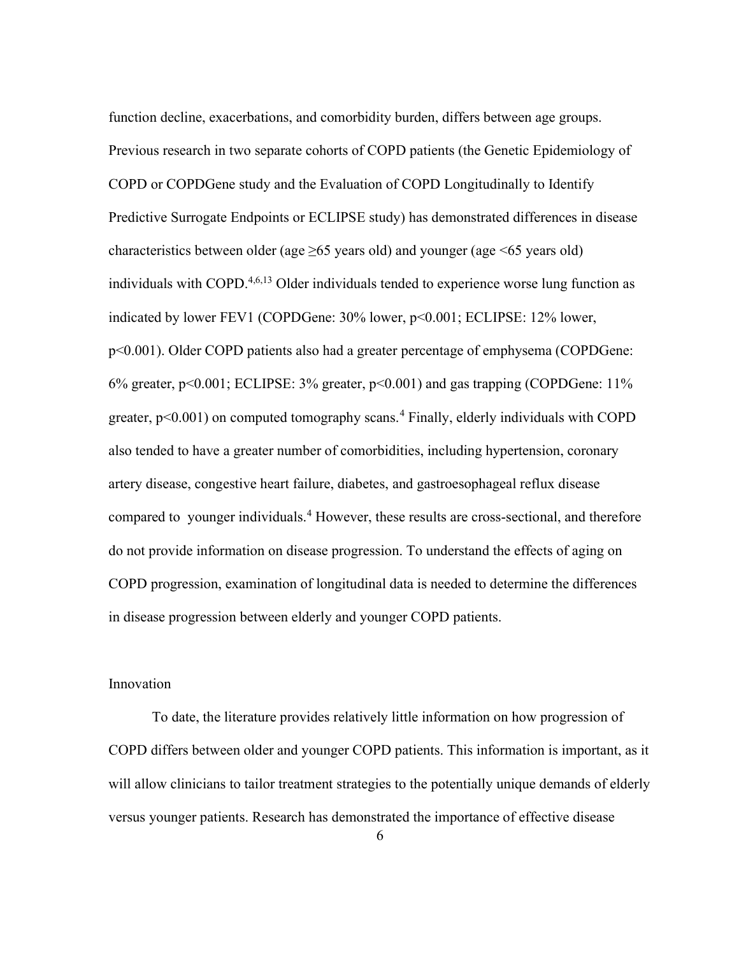function decline, exacerbations, and comorbidity burden, differs between age groups. Previous research in two separate cohorts of COPD patients (the Genetic Epidemiology of COPD or COPDGene study and the Evaluation of COPD Longitudinally to Identify Predictive Surrogate Endpoints or ECLIPSE study) has demonstrated differences in disease characteristics between older (age  $\geq 65$  years old) and younger (age  $\leq 65$  years old) individuals with COPD.<sup>4,6,13</sup> Older individuals tended to experience worse lung function as indicated by lower FEV1 (COPDGene: 30% lower, p<0.001; ECLIPSE: 12% lower, p<0.001). Older COPD patients also had a greater percentage of emphysema (COPDGene: 6% greater, p<0.001; ECLIPSE: 3% greater, p<0.001) and gas trapping (COPDGene: 11% greater,  $p<0.001$ ) on computed tomography scans.<sup>4</sup> Finally, elderly individuals with COPD also tended to have a greater number of comorbidities, including hypertension, coronary artery disease, congestive heart failure, diabetes, and gastroesophageal reflux disease compared to younger individuals.<sup>4</sup> However, these results are cross-sectional, and therefore do not provide information on disease progression. To understand the effects of aging on COPD progression, examination of longitudinal data is needed to determine the differences in disease progression between elderly and younger COPD patients.

#### Innovation

To date, the literature provides relatively little information on how progression of COPD differs between older and younger COPD patients. This information is important, as it will allow clinicians to tailor treatment strategies to the potentially unique demands of elderly versus younger patients. Research has demonstrated the importance of effective disease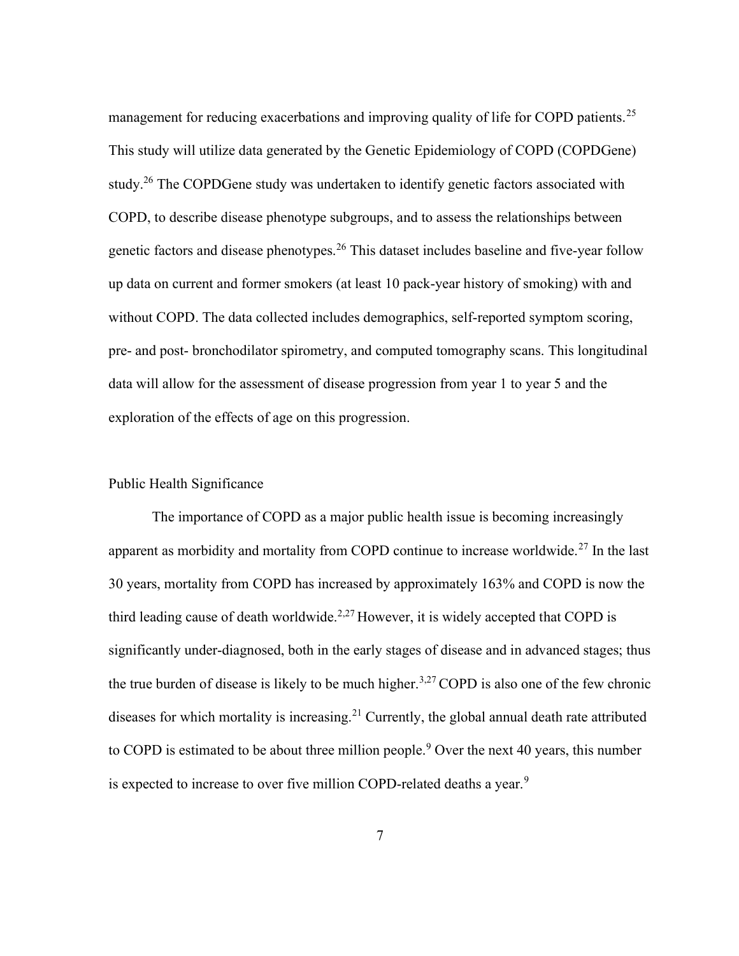management for reducing exacerbations and improving quality of life for COPD patients.<sup>25</sup> This study will utilize data generated by the Genetic Epidemiology of COPD (COPDGene) study.<sup>26</sup> The COPDGene study was undertaken to identify genetic factors associated with COPD, to describe disease phenotype subgroups, and to assess the relationships between genetic factors and disease phenotypes.<sup>26</sup> This dataset includes baseline and five-year follow up data on current and former smokers (at least 10 pack-year history of smoking) with and without COPD. The data collected includes demographics, self-reported symptom scoring, pre- and post- bronchodilator spirometry, and computed tomography scans. This longitudinal data will allow for the assessment of disease progression from year 1 to year 5 and the exploration of the effects of age on this progression.

#### Public Health Significance

The importance of COPD as a major public health issue is becoming increasingly apparent as morbidity and mortality from COPD continue to increase worldwide.<sup>27</sup> In the last 30 years, mortality from COPD has increased by approximately 163% and COPD is now the third leading cause of death worldwide.<sup>2,27</sup> However, it is widely accepted that COPD is significantly under-diagnosed, both in the early stages of disease and in advanced stages; thus the true burden of disease is likely to be much higher.<sup>3,27</sup> COPD is also one of the few chronic diseases for which mortality is increasing.<sup>21</sup> Currently, the global annual death rate attributed to COPD is estimated to be about three million people.<sup>9</sup> Over the next 40 years, this number is expected to increase to over five million COPD-related deaths a year.<sup>9</sup>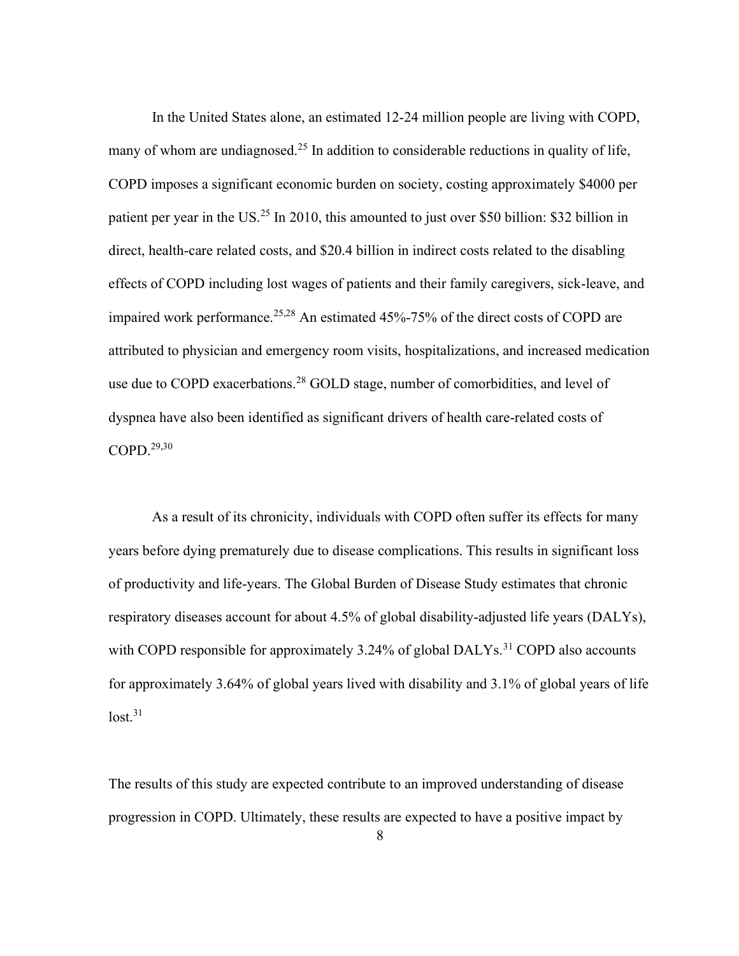In the United States alone, an estimated 12-24 million people are living with COPD, many of whom are undiagnosed.<sup>25</sup> In addition to considerable reductions in quality of life, COPD imposes a significant economic burden on society, costing approximately \$4000 per patient per year in the US.<sup>25</sup> In 2010, this amounted to just over \$50 billion: \$32 billion in direct, health-care related costs, and \$20.4 billion in indirect costs related to the disabling effects of COPD including lost wages of patients and their family caregivers, sick-leave, and impaired work performance.<sup>25,28</sup> An estimated 45%-75% of the direct costs of COPD are attributed to physician and emergency room visits, hospitalizations, and increased medication use due to COPD exacerbations.<sup>28</sup> GOLD stage, number of comorbidities, and level of dyspnea have also been identified as significant drivers of health care-related costs of  $COPD.<sup>29,30</sup>$ 

As a result of its chronicity, individuals with COPD often suffer its effects for many years before dying prematurely due to disease complications. This results in significant loss of productivity and life-years. The Global Burden of Disease Study estimates that chronic respiratory diseases account for about 4.5% of global disability-adjusted life years (DALYs), with COPD responsible for approximately 3.24% of global DALYs.<sup>31</sup> COPD also accounts for approximately 3.64% of global years lived with disability and 3.1% of global years of life  $lost.<sup>31</sup>$ 

The results of this study are expected contribute to an improved understanding of disease progression in COPD. Ultimately, these results are expected to have a positive impact by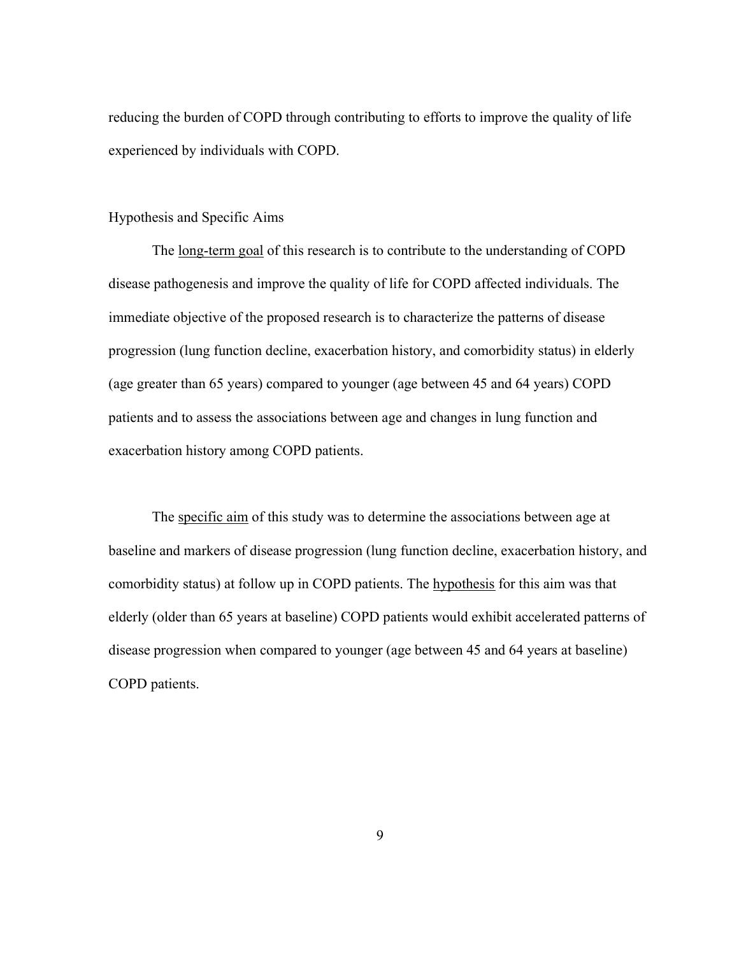reducing the burden of COPD through contributing to efforts to improve the quality of life experienced by individuals with COPD.

#### Hypothesis and Specific Aims

The <u>long-term goal</u> of this research is to contribute to the understanding of COPD disease pathogenesis and improve the quality of life for COPD affected individuals. The immediate objective of the proposed research is to characterize the patterns of disease progression (lung function decline, exacerbation history, and comorbidity status) in elderly (age greater than 65 years) compared to younger (age between 45 and 64 years) COPD patients and to assess the associations between age and changes in lung function and exacerbation history among COPD patients.

The specific aim of this study was to determine the associations between age at baseline and markers of disease progression (lung function decline, exacerbation history, and comorbidity status) at follow up in COPD patients. The hypothesis for this aim was that elderly (older than 65 years at baseline) COPD patients would exhibit accelerated patterns of disease progression when compared to younger (age between 45 and 64 years at baseline) COPD patients.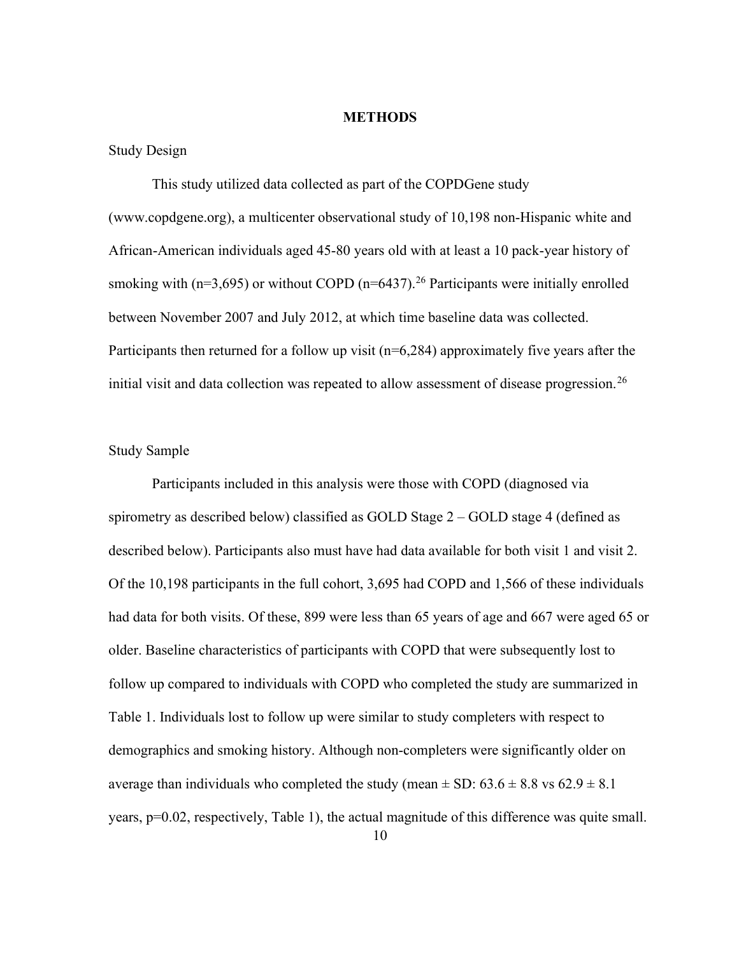#### **METHODS**

#### Study Design

This study utilized data collected as part of the COPDGene study (www.copdgene.org), a multicenter observational study of 10,198 non-Hispanic white and African-American individuals aged 45-80 years old with at least a 10 pack-year history of smoking with ( $n=3,695$ ) or without COPD ( $n=6437$ ).<sup>26</sup> Participants were initially enrolled between November 2007 and July 2012, at which time baseline data was collected. Participants then returned for a follow up visit  $(n=6,284)$  approximately five years after the initial visit and data collection was repeated to allow assessment of disease progression.<sup>26</sup>

#### Study Sample

Participants included in this analysis were those with COPD (diagnosed via spirometry as described below) classified as GOLD Stage 2 – GOLD stage 4 (defined as described below). Participants also must have had data available for both visit 1 and visit 2. Of the 10,198 participants in the full cohort, 3,695 had COPD and 1,566 of these individuals had data for both visits. Of these, 899 were less than 65 years of age and 667 were aged 65 or older. Baseline characteristics of participants with COPD that were subsequently lost to follow up compared to individuals with COPD who completed the study are summarized in Table 1. Individuals lost to follow up were similar to study completers with respect to demographics and smoking history. Although non-completers were significantly older on average than individuals who completed the study (mean  $\pm$  SD: 63.6  $\pm$  8.8 vs 62.9  $\pm$  8.1 years, p=0.02, respectively, Table 1), the actual magnitude of this difference was quite small.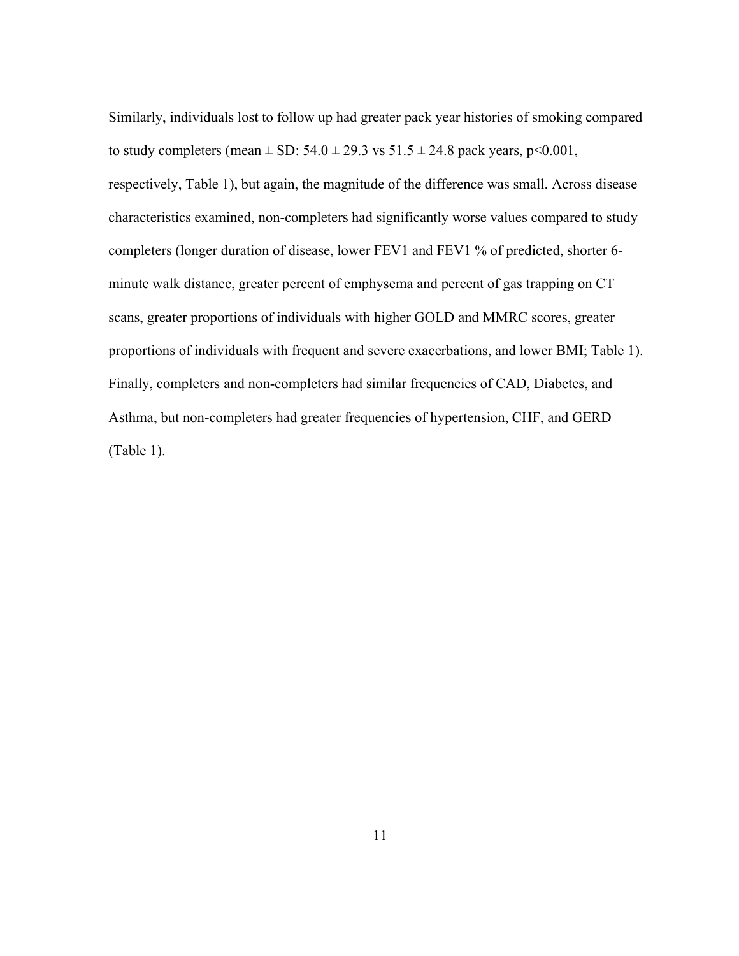Similarly, individuals lost to follow up had greater pack year histories of smoking compared to study completers (mean  $\pm$  SD: 54.0  $\pm$  29.3 vs 51.5  $\pm$  24.8 pack years, p<0.001, respectively, Table 1), but again, the magnitude of the difference was small. Across disease characteristics examined, non-completers had significantly worse values compared to study completers (longer duration of disease, lower FEV1 and FEV1 % of predicted, shorter 6 minute walk distance, greater percent of emphysema and percent of gas trapping on CT scans, greater proportions of individuals with higher GOLD and MMRC scores, greater proportions of individuals with frequent and severe exacerbations, and lower BMI; Table 1). Finally, completers and non-completers had similar frequencies of CAD, Diabetes, and Asthma, but non-completers had greater frequencies of hypertension, CHF, and GERD (Table 1).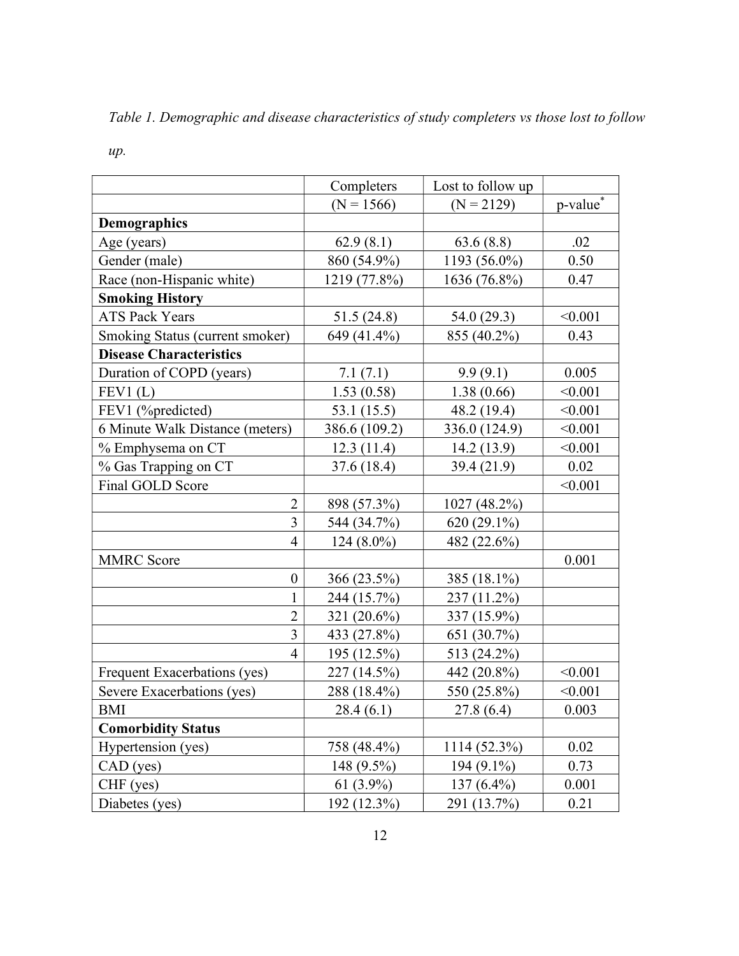Table 1. Demographic and disease characteristics of study completers vs those lost to follow

|                                 | Completers     | Lost to follow up |                      |
|---------------------------------|----------------|-------------------|----------------------|
|                                 | $(N = 1566)$   | $(N = 2129)$      | p-value <sup>*</sup> |
| <b>Demographics</b>             |                |                   |                      |
| Age (years)                     | 62.9(8.1)      | 63.6(8.8)         | .02                  |
| Gender (male)                   | 860 (54.9%)    | 1193 (56.0%)      | 0.50                 |
| Race (non-Hispanic white)       | 1219 (77.8%)   | 1636 (76.8%)      | 0.47                 |
| <b>Smoking History</b>          |                |                   |                      |
| <b>ATS Pack Years</b>           | 51.5 (24.8)    | 54.0 (29.3)       | < 0.001              |
| Smoking Status (current smoker) | 649 (41.4%)    | 855 (40.2%)       | 0.43                 |
| <b>Disease Characteristics</b>  |                |                   |                      |
| Duration of COPD (years)        | 7.1(7.1)       | 9.9(9.1)          | 0.005                |
| FEV1(L)                         | 1.53(0.58)     | 1.38(0.66)        | < 0.001              |
| FEV1 (%predicted)               | 53.1 $(15.5)$  | 48.2 (19.4)       | < 0.001              |
| 6 Minute Walk Distance (meters) | 386.6 (109.2)  | 336.0 (124.9)     | < 0.001              |
| % Emphysema on CT               | 12.3(11.4)     | 14.2(13.9)        | < 0.001              |
| % Gas Trapping on CT            | 37.6 (18.4)    | 39.4 (21.9)       | 0.02                 |
| Final GOLD Score                |                |                   | < 0.001              |
| $\overline{2}$                  | 898 (57.3%)    | 1027 (48.2%)      |                      |
| 3                               | 544 (34.7%)    | $620(29.1\%)$     |                      |
| 4                               | $124(8.0\%)$   | 482 (22.6%)       |                      |
| <b>MMRC</b> Score               |                |                   | 0.001                |
| $\boldsymbol{0}$                | 366 (23.5%)    | 385 (18.1%)       |                      |
| $\mathbf{1}$                    | 244 (15.7%)    | 237 (11.2%)       |                      |
| $\overline{2}$                  | 321 $(20.6\%)$ | 337 (15.9%)       |                      |
| 3                               | 433 (27.8%)    | 651 (30.7%)       |                      |
| 4                               | 195 (12.5%)    | 513 (24.2%)       |                      |
| Frequent Exacerbations (yes)    | 227 (14.5%)    | 442 (20.8%)       | < 0.001              |
| Severe Exacerbations (yes)      | 288 (18.4%)    | 550 (25.8%)       | < 0.001              |
| <b>BMI</b>                      | 28.4(6.1)      | 27.8 (6.4)        | 0.003                |
| <b>Comorbidity Status</b>       |                |                   |                      |
| Hypertension (yes)              | 758 (48.4%)    | 1114 (52.3%)      | 0.02                 |
| $CAD$ (yes)                     | 148 (9.5%)     | 194 (9.1%)        | 0.73                 |
| CHF (yes)                       | 61 $(3.9\%)$   | 137 $(6.4\%)$     | 0.001                |
| Diabetes (yes)                  | 192 (12.3%)    | 291 (13.7%)       | 0.21                 |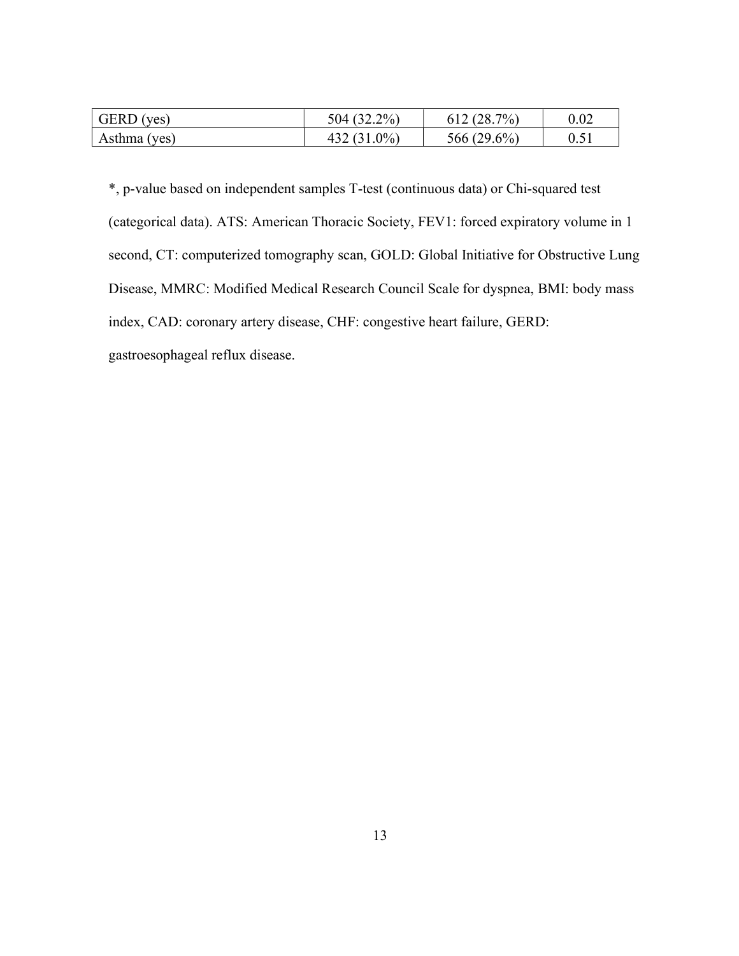| $\vert$ GERD (yes) | 504 (32.2%)    | 612(28.7%)  | 0.02 |
|--------------------|----------------|-------------|------|
| Asthma (yes)       | 432 $(31.0\%)$ | 566 (29.6%) | 0.51 |

\*, p-value based on independent samples T-test (continuous data) or Chi-squared test (categorical data). ATS: American Thoracic Society, FEV1: forced expiratory volume in 1 second, CT: computerized tomography scan, GOLD: Global Initiative for Obstructive Lung Disease, MMRC: Modified Medical Research Council Scale for dyspnea, BMI: body mass index, CAD: coronary artery disease, CHF: congestive heart failure, GERD: gastroesophageal reflux disease.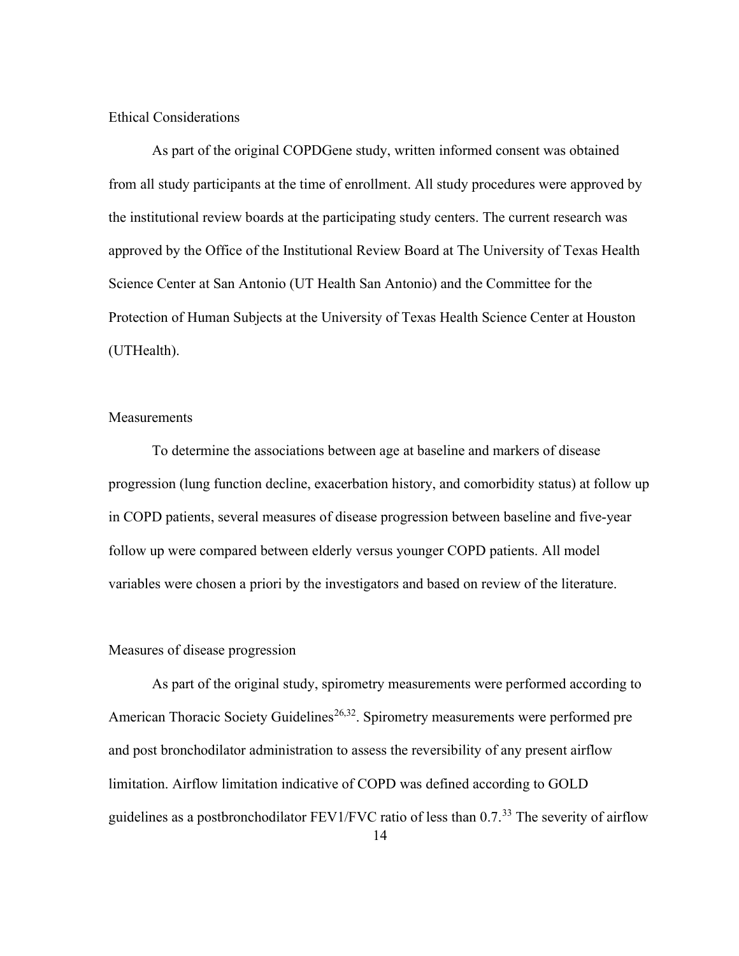#### Ethical Considerations

As part of the original COPDGene study, written informed consent was obtained from all study participants at the time of enrollment. All study procedures were approved by the institutional review boards at the participating study centers. The current research was approved by the Office of the Institutional Review Board at The University of Texas Health Science Center at San Antonio (UT Health San Antonio) and the Committee for the Protection of Human Subjects at the University of Texas Health Science Center at Houston (UTHealth).

#### **Measurements**

To determine the associations between age at baseline and markers of disease progression (lung function decline, exacerbation history, and comorbidity status) at follow up in COPD patients, several measures of disease progression between baseline and five-year follow up were compared between elderly versus younger COPD patients. All model variables were chosen a priori by the investigators and based on review of the literature.

#### Measures of disease progression

As part of the original study, spirometry measurements were performed according to American Thoracic Society Guidelines<sup>26,32</sup>. Spirometry measurements were performed pre and post bronchodilator administration to assess the reversibility of any present airflow limitation. Airflow limitation indicative of COPD was defined according to GOLD guidelines as a postbronchodilator FEV1/FVC ratio of less than  $0.7$ .<sup>33</sup> The severity of airflow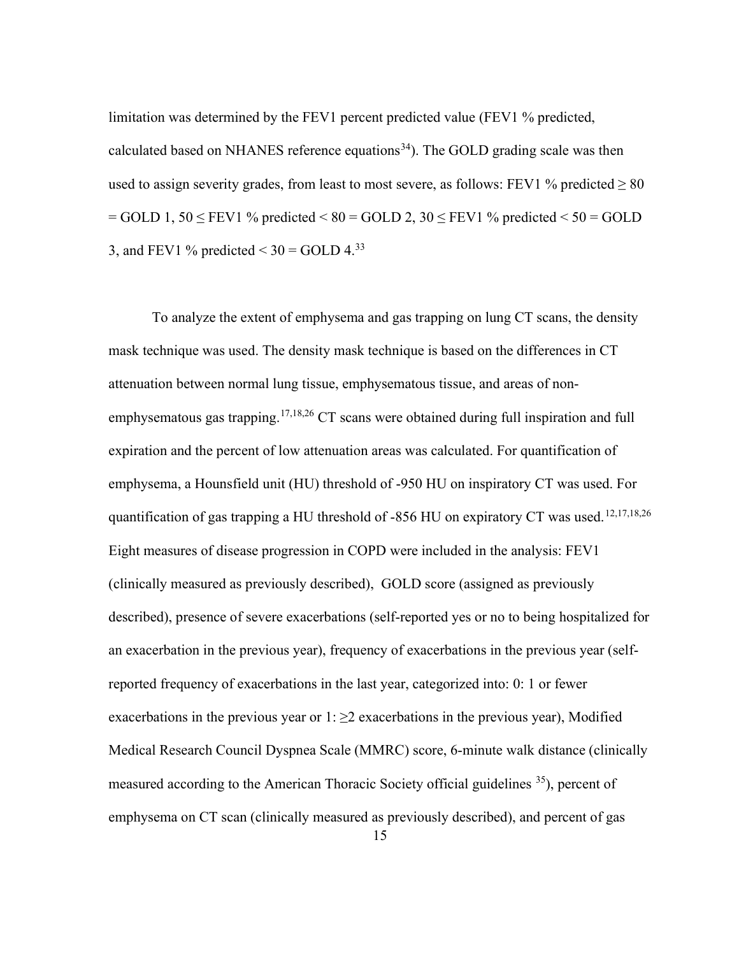limitation was determined by the FEV1 percent predicted value (FEV1 % predicted, calculated based on NHANES reference equations<sup>34</sup>). The GOLD grading scale was then used to assign severity grades, from least to most severe, as follows: FEV1 % predicted  $\geq 80$  $=$  GOLD 1, 50  $\le$  FEV1 % predicted  $\le$  80  $=$  GOLD 2, 30  $\le$  FEV1 % predicted  $\le$  50  $=$  GOLD 3, and FEV1 % predicted  $<$  30 = GOLD 4.<sup>33</sup>

To analyze the extent of emphysema and gas trapping on lung CT scans, the density mask technique was used. The density mask technique is based on the differences in CT attenuation between normal lung tissue, emphysematous tissue, and areas of nonemphysematous gas trapping.<sup>17,18,26</sup> CT scans were obtained during full inspiration and full expiration and the percent of low attenuation areas was calculated. For quantification of emphysema, a Hounsfield unit (HU) threshold of -950 HU on inspiratory CT was used. For quantification of gas trapping a HU threshold of -856 HU on expiratory CT was used.<sup>12,17,18,26</sup> Eight measures of disease progression in COPD were included in the analysis: FEV1 (clinically measured as previously described), GOLD score (assigned as previously described), presence of severe exacerbations (self-reported yes or no to being hospitalized for an exacerbation in the previous year), frequency of exacerbations in the previous year (selfreported frequency of exacerbations in the last year, categorized into: 0: 1 or fewer exacerbations in the previous year or  $1: \geq 2$  exacerbations in the previous year), Modified Medical Research Council Dyspnea Scale (MMRC) score, 6-minute walk distance (clinically measured according to the American Thoracic Society official guidelines <sup>35</sup>), percent of emphysema on CT scan (clinically measured as previously described), and percent of gas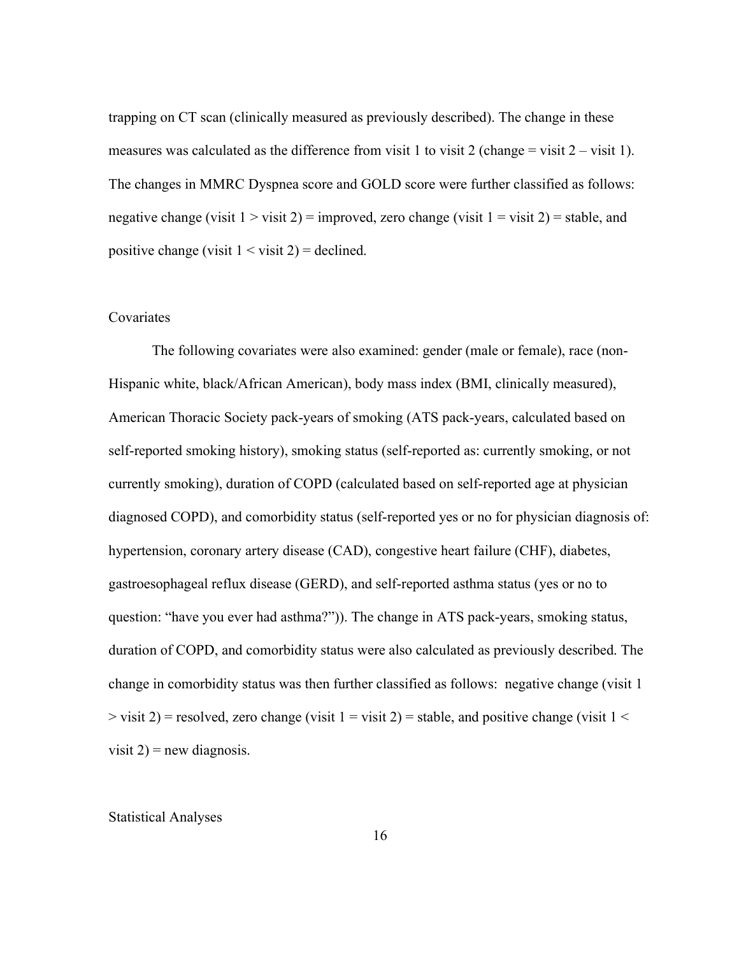trapping on CT scan (clinically measured as previously described). The change in these measures was calculated as the difference from visit 1 to visit 2 (change  $=$  visit 2 – visit 1). The changes in MMRC Dyspnea score and GOLD score were further classified as follows: negative change (visit  $1 > v$ isit  $2$ ) = improved, zero change (visit  $1 = v$ isit  $2$ ) = stable, and positive change (visit  $1 \le$  visit  $2$ ) = declined.

#### Covariates

The following covariates were also examined: gender (male or female), race (non-Hispanic white, black/African American), body mass index (BMI, clinically measured), American Thoracic Society pack-years of smoking (ATS pack-years, calculated based on self-reported smoking history), smoking status (self-reported as: currently smoking, or not currently smoking), duration of COPD (calculated based on self-reported age at physician diagnosed COPD), and comorbidity status (self-reported yes or no for physician diagnosis of: hypertension, coronary artery disease (CAD), congestive heart failure (CHF), diabetes, gastroesophageal reflux disease (GERD), and self-reported asthma status (yes or no to question: "have you ever had asthma?")). The change in ATS pack-years, smoking status, duration of COPD, and comorbidity status were also calculated as previously described. The change in comorbidity status was then further classified as follows: negative change (visit 1  $>$  visit 2) = resolved, zero change (visit 1 = visit 2) = stable, and positive change (visit 1  $<$ visit  $2$ ) = new diagnosis.

#### Statistical Analyses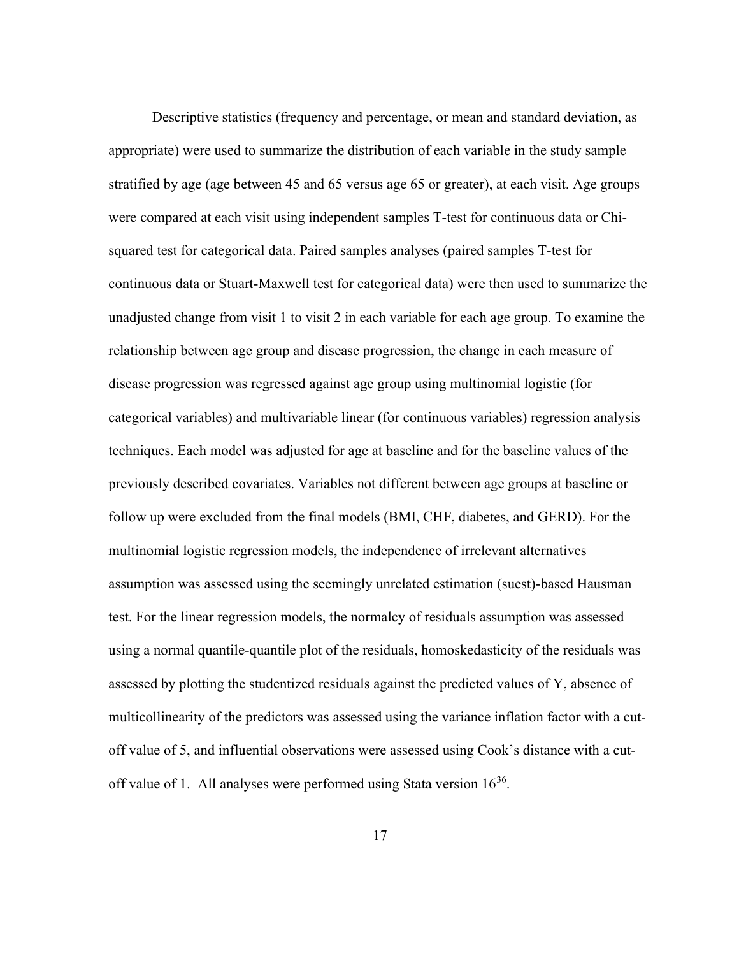Descriptive statistics (frequency and percentage, or mean and standard deviation, as appropriate) were used to summarize the distribution of each variable in the study sample stratified by age (age between 45 and 65 versus age 65 or greater), at each visit. Age groups were compared at each visit using independent samples T-test for continuous data or Chisquared test for categorical data. Paired samples analyses (paired samples T-test for continuous data or Stuart-Maxwell test for categorical data) were then used to summarize the unadjusted change from visit 1 to visit 2 in each variable for each age group. To examine the relationship between age group and disease progression, the change in each measure of disease progression was regressed against age group using multinomial logistic (for categorical variables) and multivariable linear (for continuous variables) regression analysis techniques. Each model was adjusted for age at baseline and for the baseline values of the previously described covariates. Variables not different between age groups at baseline or follow up were excluded from the final models (BMI, CHF, diabetes, and GERD). For the multinomial logistic regression models, the independence of irrelevant alternatives assumption was assessed using the seemingly unrelated estimation (suest)-based Hausman test. For the linear regression models, the normalcy of residuals assumption was assessed using a normal quantile-quantile plot of the residuals, homoskedasticity of the residuals was assessed by plotting the studentized residuals against the predicted values of Y, absence of multicollinearity of the predictors was assessed using the variance inflation factor with a cutoff value of 5, and influential observations were assessed using Cook's distance with a cutoff value of 1. All analyses were performed using Stata version  $16^{36}$ .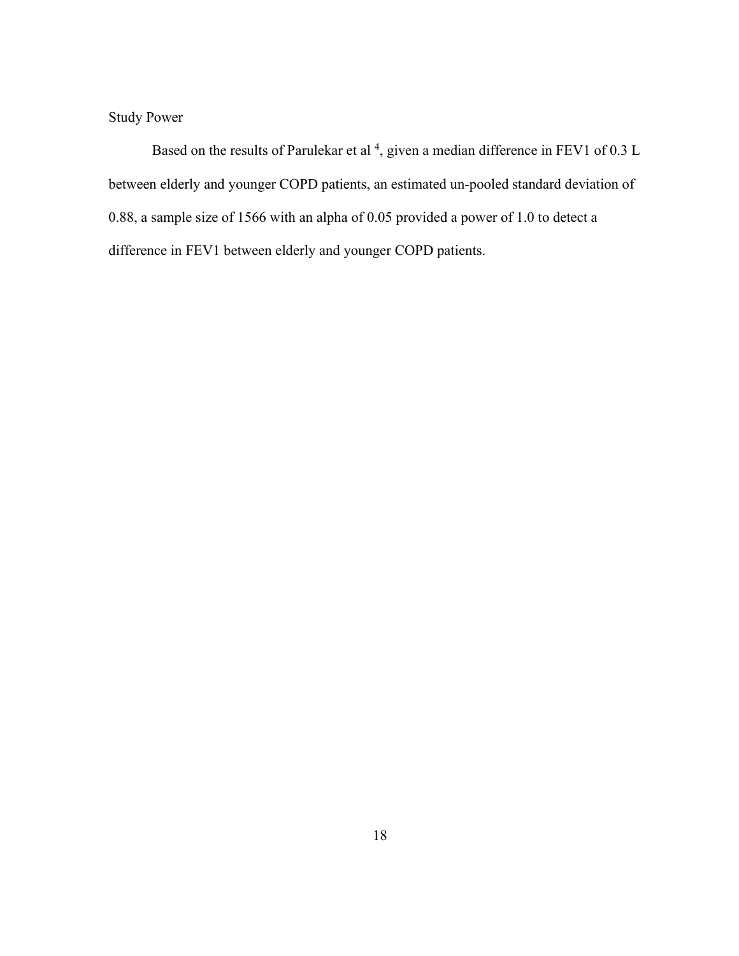Study Power

Based on the results of Parulekar et al  $^4$ , given a median difference in FEV1 of 0.3 L between elderly and younger COPD patients, an estimated un-pooled standard deviation of 0.88, a sample size of 1566 with an alpha of 0.05 provided a power of 1.0 to detect a difference in FEV1 between elderly and younger COPD patients.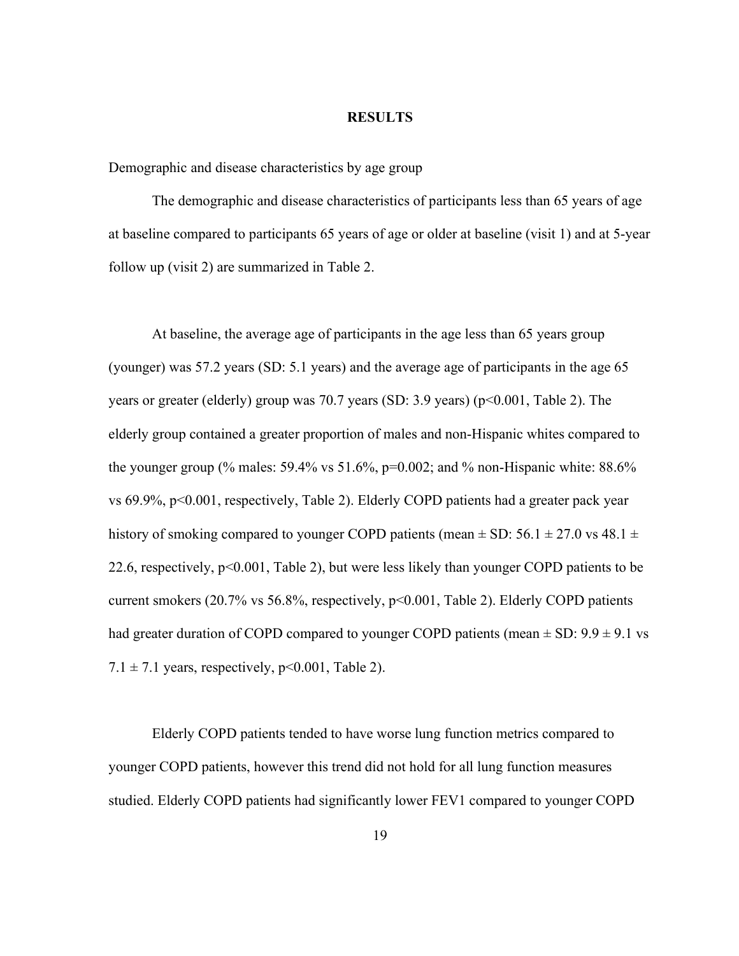#### RESULTS

Demographic and disease characteristics by age group

The demographic and disease characteristics of participants less than 65 years of age at baseline compared to participants 65 years of age or older at baseline (visit 1) and at 5-year follow up (visit 2) are summarized in Table 2.

At baseline, the average age of participants in the age less than 65 years group (younger) was 57.2 years (SD: 5.1 years) and the average age of participants in the age 65 years or greater (elderly) group was 70.7 years (SD: 3.9 years) (p<0.001, Table 2). The elderly group contained a greater proportion of males and non-Hispanic whites compared to the younger group (% males:  $59.4\%$  vs  $51.6\%$ ,  $p=0.002$ ; and % non-Hispanic white:  $88.6\%$ vs 69.9%, p<0.001, respectively, Table 2). Elderly COPD patients had a greater pack year history of smoking compared to younger COPD patients (mean  $\pm$  SD: 56.1  $\pm$  27.0 vs 48.1  $\pm$ 22.6, respectively, p<0.001, Table 2), but were less likely than younger COPD patients to be current smokers (20.7% vs 56.8%, respectively, p<0.001, Table 2). Elderly COPD patients had greater duration of COPD compared to younger COPD patients (mean  $\pm$  SD: 9.9  $\pm$  9.1 vs  $7.1 \pm 7.1$  years, respectively, p<0.001, Table 2).

Elderly COPD patients tended to have worse lung function metrics compared to younger COPD patients, however this trend did not hold for all lung function measures studied. Elderly COPD patients had significantly lower FEV1 compared to younger COPD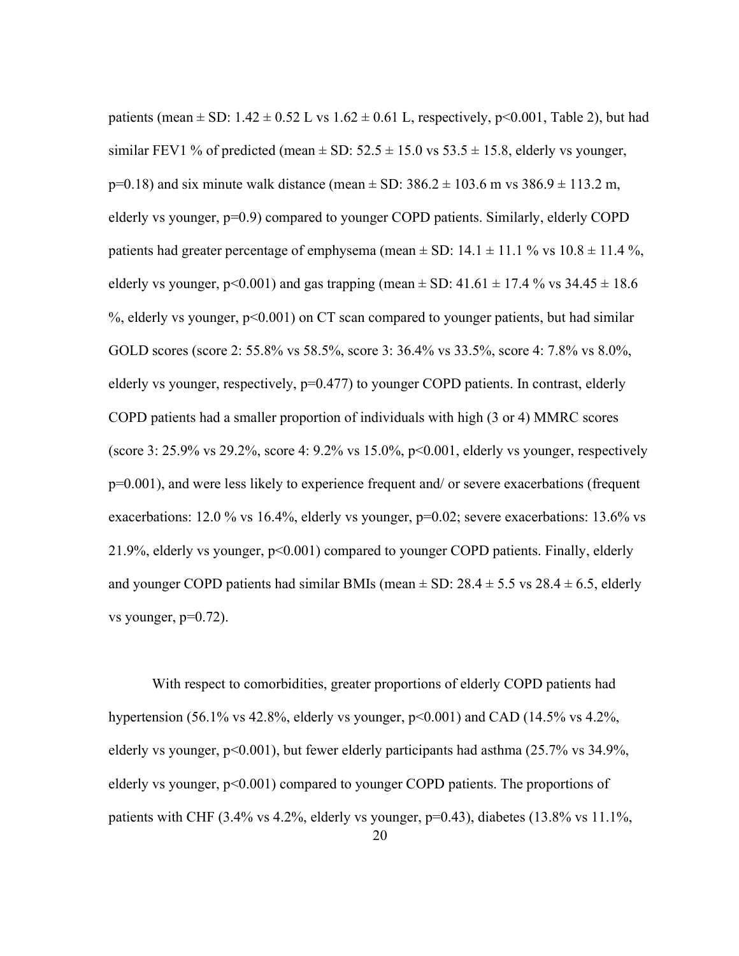patients (mean  $\pm$  SD: 1.42  $\pm$  0.52 L vs 1.62  $\pm$  0.61 L, respectively, p<0.001, Table 2), but had similar FEV1 % of predicted (mean  $\pm$  SD: 52.5  $\pm$  15.0 vs 53.5  $\pm$  15.8, elderly vs younger,  $p=0.18$ ) and six minute walk distance (mean  $\pm$  SD: 386.2  $\pm$  103.6 m vs 386.9  $\pm$  113.2 m, elderly vs younger, p=0.9) compared to younger COPD patients. Similarly, elderly COPD patients had greater percentage of emphysema (mean  $\pm$  SD: 14.1  $\pm$  11.1 % vs 10.8  $\pm$  11.4 %, elderly vs younger, p<0.001) and gas trapping (mean  $\pm$  SD: 41.61  $\pm$  17.4 % vs 34.45  $\pm$  18.6  $\%$ , elderly vs younger,  $p \leq 0.001$  on CT scan compared to younger patients, but had similar GOLD scores (score 2: 55.8% vs 58.5%, score 3: 36.4% vs 33.5%, score 4: 7.8% vs 8.0%, elderly vs younger, respectively, p=0.477) to younger COPD patients. In contrast, elderly COPD patients had a smaller proportion of individuals with high (3 or 4) MMRC scores (score 3: 25.9% vs 29.2%, score 4: 9.2% vs 15.0%, p<0.001, elderly vs younger, respectively p=0.001), and were less likely to experience frequent and/ or severe exacerbations (frequent exacerbations: 12.0 % vs 16.4%, elderly vs younger, p=0.02; severe exacerbations: 13.6% vs 21.9%, elderly vs younger, p<0.001) compared to younger COPD patients. Finally, elderly and younger COPD patients had similar BMIs (mean  $\pm$  SD: 28.4  $\pm$  5.5 vs 28.4  $\pm$  6.5, elderly vs younger,  $p=0.72$ ).

With respect to comorbidities, greater proportions of elderly COPD patients had hypertension (56.1% vs 42.8%, elderly vs younger,  $p<0.001$ ) and CAD (14.5% vs 4.2%, elderly vs younger, p<0.001), but fewer elderly participants had asthma (25.7% vs 34.9%, elderly vs younger,  $p<0.001$ ) compared to younger COPD patients. The proportions of patients with CHF (3.4% vs 4.2%, elderly vs younger,  $p=0.43$ ), diabetes (13.8% vs 11.1%,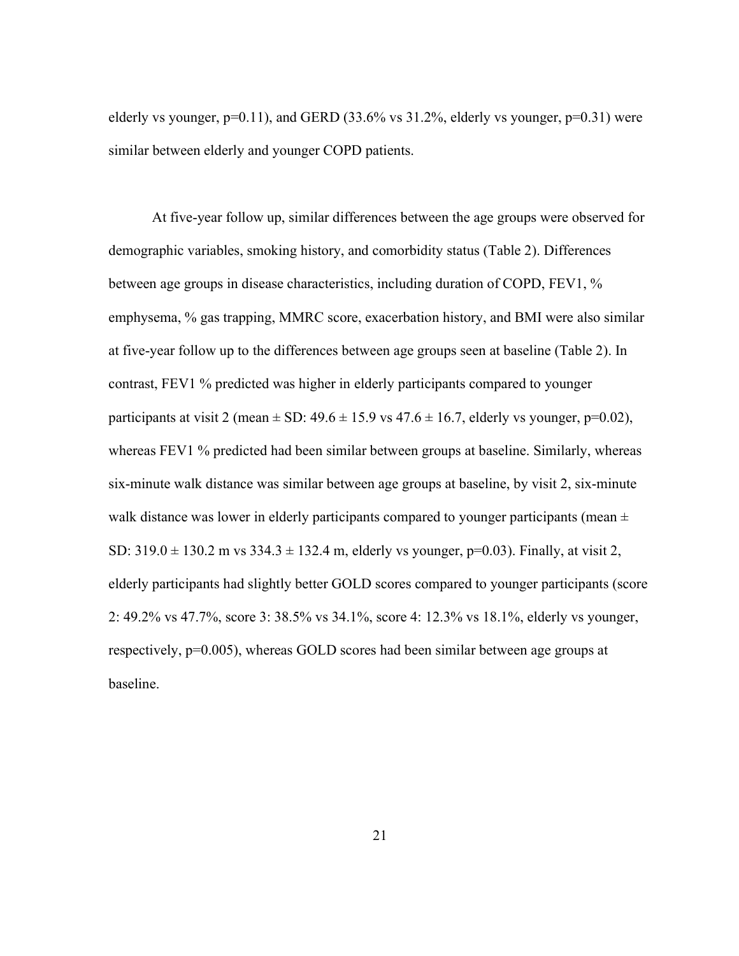elderly vs younger,  $p=0.11$ ), and GERD (33.6% vs 31.2%, elderly vs younger,  $p=0.31$ ) were similar between elderly and younger COPD patients.

At five-year follow up, similar differences between the age groups were observed for demographic variables, smoking history, and comorbidity status (Table 2). Differences between age groups in disease characteristics, including duration of COPD, FEV1, % emphysema, % gas trapping, MMRC score, exacerbation history, and BMI were also similar at five-year follow up to the differences between age groups seen at baseline (Table 2). In contrast, FEV1 % predicted was higher in elderly participants compared to younger participants at visit 2 (mean  $\pm$  SD: 49.6  $\pm$  15.9 vs 47.6  $\pm$  16.7, elderly vs younger, p=0.02), whereas FEV1 % predicted had been similar between groups at baseline. Similarly, whereas six-minute walk distance was similar between age groups at baseline, by visit 2, six-minute walk distance was lower in elderly participants compared to younger participants (mean  $\pm$ SD:  $319.0 \pm 130.2$  m vs  $334.3 \pm 132.4$  m, elderly vs younger, p=0.03). Finally, at visit 2, elderly participants had slightly better GOLD scores compared to younger participants (score 2: 49.2% vs 47.7%, score 3: 38.5% vs 34.1%, score 4: 12.3% vs 18.1%, elderly vs younger, respectively, p=0.005), whereas GOLD scores had been similar between age groups at baseline.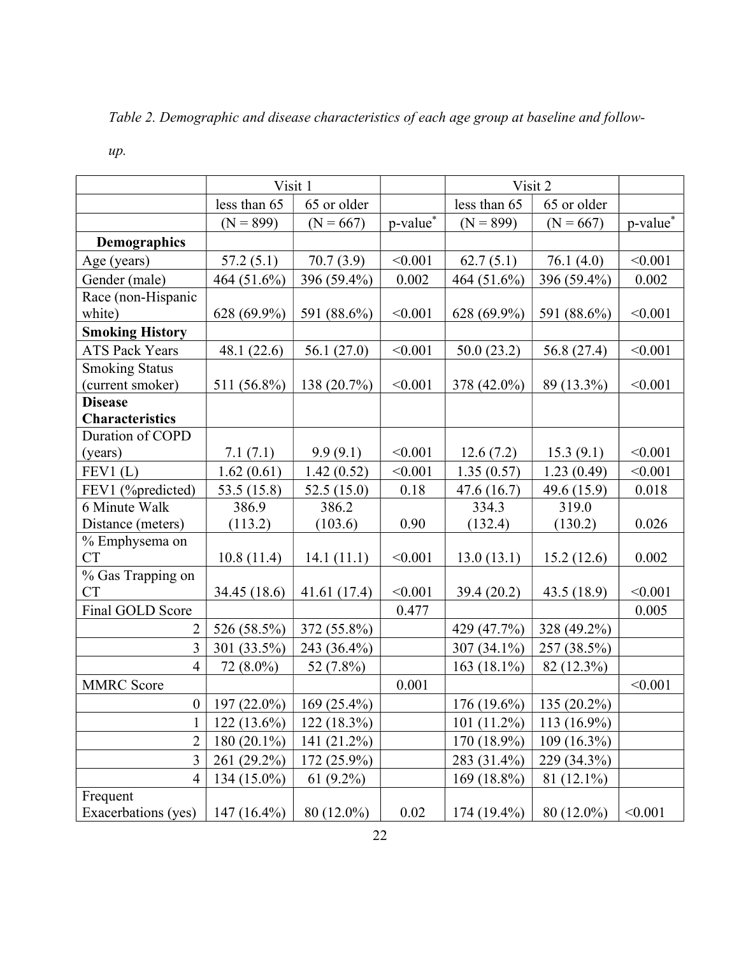Table 2. Demographic and disease characteristics of each age group at baseline and follow-

|                        | Visit 1        |               | Visit 2  |                |               |          |
|------------------------|----------------|---------------|----------|----------------|---------------|----------|
|                        | less than 65   | 65 or older   |          | less than 65   | 65 or older   |          |
|                        | $(N = 899)$    | $(N = 667)$   | p-value* | $(N = 899)$    | $(N = 667)$   | p-value* |
| Demographics           |                |               |          |                |               |          |
| Age (years)            | 57.2(5.1)      | 70.7(3.9)     | < 0.001  | 62.7(5.1)      | 76.1(4.0)     | < 0.001  |
| Gender (male)          | 464 (51.6%)    | 396 (59.4%)   | 0.002    | 464 (51.6%)    | 396 (59.4%)   | 0.002    |
| Race (non-Hispanic     |                |               |          |                |               |          |
| white)                 | 628 (69.9%)    | 591 (88.6%)   | < 0.001  | 628 (69.9%)    | 591 (88.6%)   | < 0.001  |
| <b>Smoking History</b> |                |               |          |                |               |          |
| <b>ATS Pack Years</b>  | 48.1 $(22.6)$  | 56.1 $(27.0)$ | < 0.001  | 50.0(23.2)     | 56.8 (27.4)   | < 0.001  |
| <b>Smoking Status</b>  |                |               |          |                |               |          |
| (current smoker)       | 511 (56.8%)    | 138 (20.7%)   | < 0.001  | 378 (42.0%)    | 89 (13.3%)    | < 0.001  |
| <b>Disease</b>         |                |               |          |                |               |          |
| <b>Characteristics</b> |                |               |          |                |               |          |
| Duration of COPD       |                |               |          |                |               |          |
| (years)                | 7.1(7.1)       | 9.9(9.1)      | < 0.001  | 12.6(7.2)      | 15.3(9.1)     | < 0.001  |
| FEV1(L)                | 1.62(0.61)     | 1.42(0.52)    | < 0.001  | 1.35(0.57)     | 1.23(0.49)    | < 0.001  |
| FEV1 (%predicted)      | 53.5 $(15.8)$  | 52.5(15.0)    | 0.18     | 47.6(16.7)     | 49.6 (15.9)   | 0.018    |
| 6 Minute Walk          | 386.9          | 386.2         |          | 334.3          | 319.0         |          |
| Distance (meters)      | (113.2)        | (103.6)       | 0.90     | (132.4)        | (130.2)       | 0.026    |
| % Emphysema on         |                |               |          |                |               |          |
| <b>CT</b>              | 10.8(11.4)     | 14.1(11.1)    | < 0.001  | 13.0(13.1)     | 15.2(12.6)    | 0.002    |
| % Gas Trapping on      |                |               |          |                |               |          |
| <b>CT</b>              | 34.45 (18.6)   | 41.61(17.4)   | < 0.001  | 39.4(20.2)     | 43.5 (18.9)   | < 0.001  |
| Final GOLD Score       |                |               | 0.477    |                |               | 0.005    |
| 2                      | 526 (58.5%)    | 372 (55.8%)   |          | 429 (47.7%)    | 328 (49.2%)   |          |
| 3                      | 301 (33.5%)    | 243 (36.4%)   |          | 307 (34.1%)    | 257 (38.5%)   |          |
| $\overline{4}$         | 72 (8.0%)      | 52 (7.8%)     |          | 163 $(18.1\%)$ | 82 (12.3%)    |          |
| <b>MMRC</b> Score      |                |               | 0.001    |                |               | < 0.001  |
| $\boldsymbol{0}$       | $197(22.0\%)$  | $169(25.4\%)$ |          | $176(19.6\%)$  | $135(20.2\%)$ |          |
| $\mathbf 1$            | $122(13.6\%)$  | $122(18.3\%)$ |          | $101(11.2\%)$  | $113(16.9\%)$ |          |
| $\overline{2}$         | 180 $(20.1\%)$ | 141 (21.2%)   |          | 170 (18.9%)    | 109 (16.3%)   |          |
| 3                      | 261 (29.2%)    | 172 (25.9%)   |          | 283 (31.4%)    | 229 (34.3%)   |          |
| $\overline{4}$         | $134(15.0\%)$  | $61(9.2\%)$   |          | 169 (18.8%)    | 81 (12.1%)    |          |
| Frequent               |                |               |          |                |               |          |
| Exacerbations (yes)    | 147 $(16.4\%)$ | 80 (12.0%)    | 0.02     | 174 (19.4%)    | 80 (12.0%)    | < 0.001  |

up.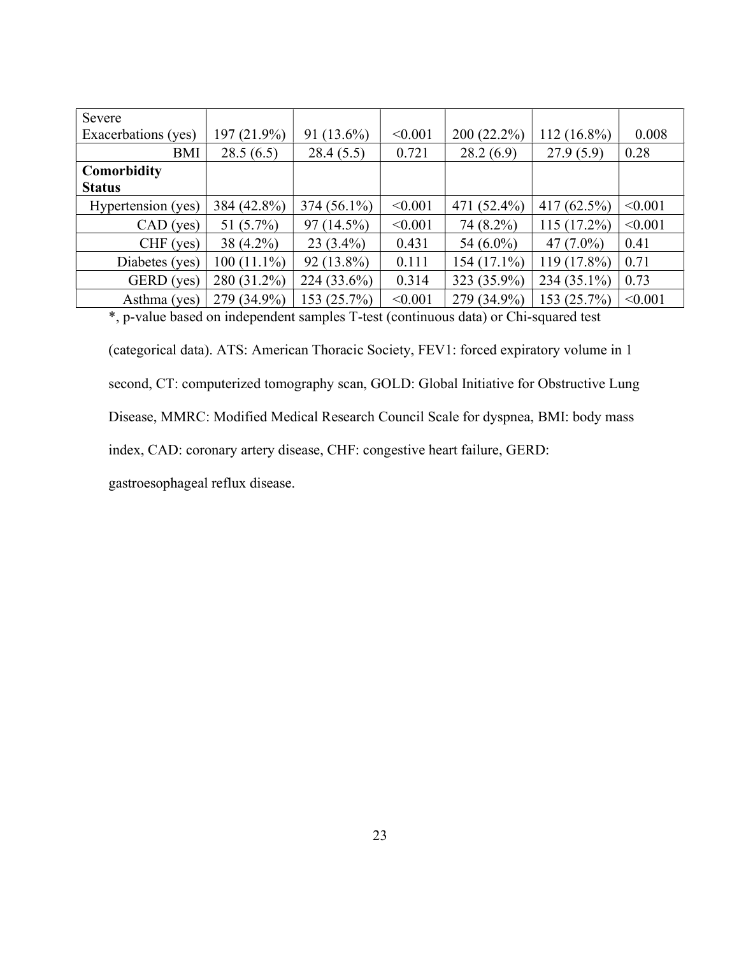| Severe              |               |               |         |               |                |         |
|---------------------|---------------|---------------|---------|---------------|----------------|---------|
| Exacerbations (yes) | 197 (21.9%)   | 91 $(13.6\%)$ | < 0.001 | $200(22.2\%)$ | 112 (16.8%)    | 0.008   |
| BMI                 | 28.5(6.5)     | 28.4(5.5)     | 0.721   | 28.2(6.9)     | 27.9(5.9)      | 0.28    |
| Comorbidity         |               |               |         |               |                |         |
| <b>Status</b>       |               |               |         |               |                |         |
| Hypertension (yes)  | 384 (42.8%)   | $374(56.1\%)$ | < 0.001 | 471 (52.4%)   | 417 $(62.5\%)$ | < 0.001 |
| $CAD$ (yes)         | 51 $(5.7\%)$  | 97 (14.5%)    | < 0.001 | 74 (8.2%)     | $115(17.2\%)$  | < 0.001 |
| $CHF$ (yes)         | $38(4.2\%)$   | $23(3.4\%)$   | 0.431   | 54 $(6.0\%)$  | 47 $(7.0\%)$   | 0.41    |
| Diabetes (yes)      | $100(11.1\%)$ | $92(13.8\%)$  | 0.111   | $154(17.1\%)$ | 119 (17.8%)    | 0.71    |
| GERD (yes)          | 280 (31.2%)   | 224 (33.6%)   | 0.314   | 323 (35.9%)   | $234(35.1\%)$  | 0.73    |
| Asthma (yes)        | 279 (34.9%)   | 153 (25.7%)   | < 0.001 | 279 (34.9%)   | 153 (25.7%)    | < 0.001 |

\*, p-value based on independent samples T-test (continuous data) or Chi-squared test

(categorical data). ATS: American Thoracic Society, FEV1: forced expiratory volume in 1 second, CT: computerized tomography scan, GOLD: Global Initiative for Obstructive Lung Disease, MMRC: Modified Medical Research Council Scale for dyspnea, BMI: body mass index, CAD: coronary artery disease, CHF: congestive heart failure, GERD: gastroesophageal reflux disease.

23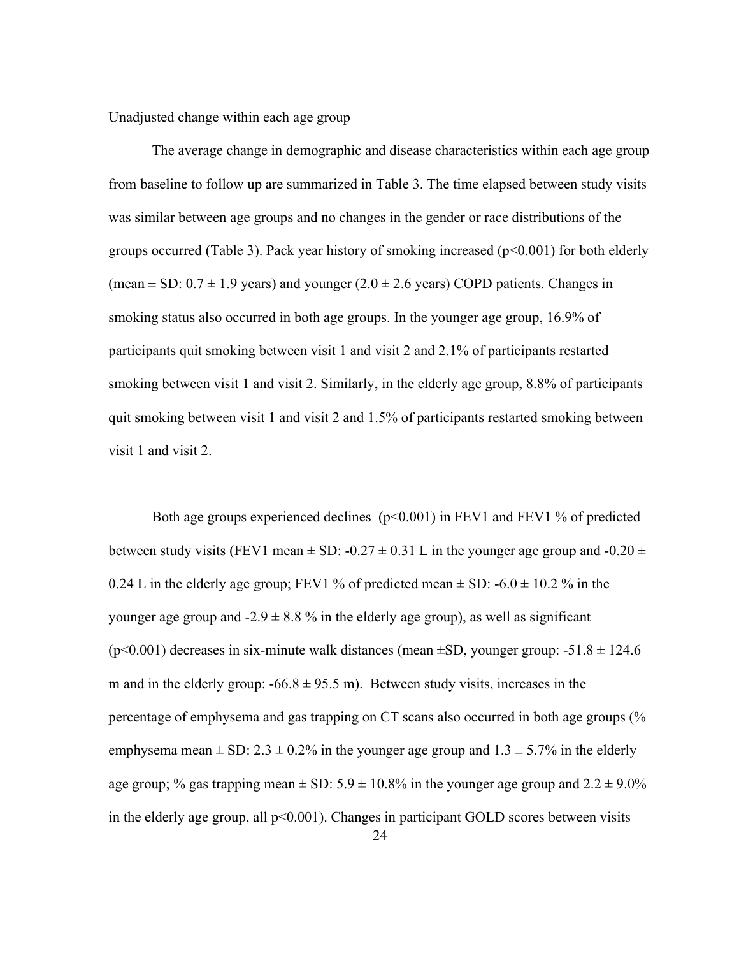Unadjusted change within each age group

The average change in demographic and disease characteristics within each age group from baseline to follow up are summarized in Table 3. The time elapsed between study visits was similar between age groups and no changes in the gender or race distributions of the groups occurred (Table 3). Pack year history of smoking increased  $(p<0.001)$  for both elderly (mean  $\pm$  SD: 0.7  $\pm$  1.9 years) and younger (2.0  $\pm$  2.6 years) COPD patients. Changes in smoking status also occurred in both age groups. In the younger age group, 16.9% of participants quit smoking between visit 1 and visit 2 and 2.1% of participants restarted smoking between visit 1 and visit 2. Similarly, in the elderly age group, 8.8% of participants quit smoking between visit 1 and visit 2 and 1.5% of participants restarted smoking between visit 1 and visit 2.

Both age groups experienced declines  $(p<0.001)$  in FEV1 and FEV1 % of predicted between study visits (FEV1 mean  $\pm$  SD: -0.27  $\pm$  0.31 L in the younger age group and -0.20  $\pm$ 0.24 L in the elderly age group; FEV1 % of predicted mean  $\pm$  SD: -6.0  $\pm$  10.2 % in the younger age group and  $-2.9 \pm 8.8$ % in the elderly age group), as well as significant ( $p$ <0.001) decreases in six-minute walk distances (mean  $\pm$ SD, younger group: -51.8  $\pm$  124.6 m and in the elderly group:  $-66.8 \pm 95.5$  m). Between study visits, increases in the percentage of emphysema and gas trapping on CT scans also occurred in both age groups (% emphysema mean  $\pm$  SD: 2.3  $\pm$  0.2% in the younger age group and 1.3  $\pm$  5.7% in the elderly age group; % gas trapping mean  $\pm$  SD: 5.9  $\pm$  10.8% in the younger age group and 2.2  $\pm$  9.0% in the elderly age group, all  $p<0.001$ ). Changes in participant GOLD scores between visits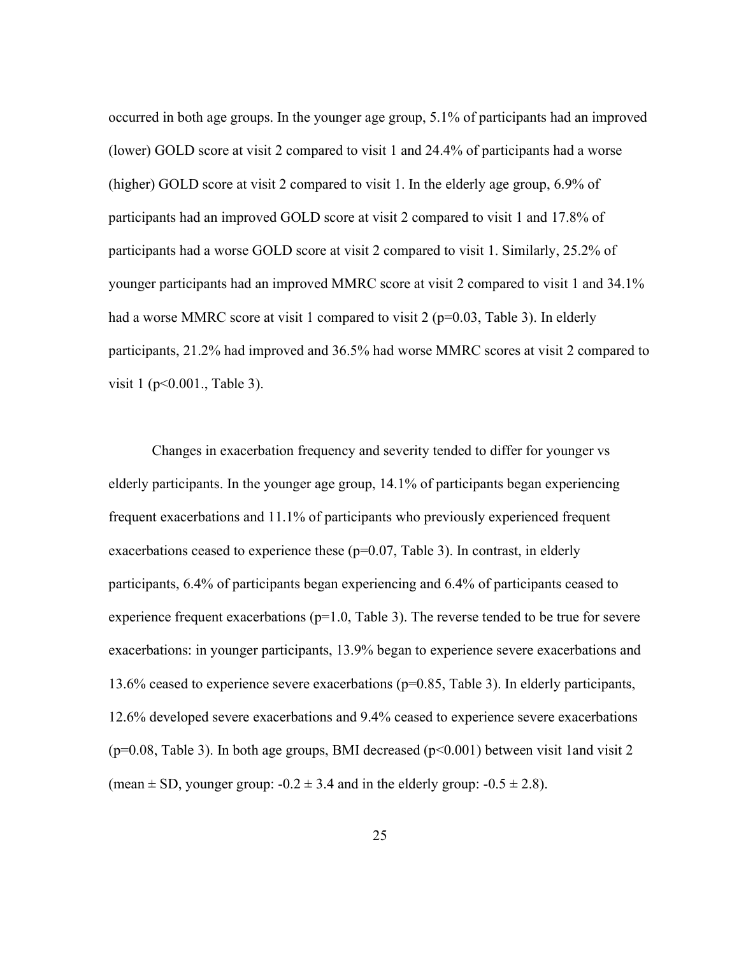occurred in both age groups. In the younger age group, 5.1% of participants had an improved (lower) GOLD score at visit 2 compared to visit 1 and 24.4% of participants had a worse (higher) GOLD score at visit 2 compared to visit 1. In the elderly age group, 6.9% of participants had an improved GOLD score at visit 2 compared to visit 1 and 17.8% of participants had a worse GOLD score at visit 2 compared to visit 1. Similarly, 25.2% of younger participants had an improved MMRC score at visit 2 compared to visit 1 and 34.1% had a worse MMRC score at visit 1 compared to visit 2 ( $p=0.03$ , Table 3). In elderly participants, 21.2% had improved and 36.5% had worse MMRC scores at visit 2 compared to visit 1 (p<0.001., Table 3).

Changes in exacerbation frequency and severity tended to differ for younger vs elderly participants. In the younger age group, 14.1% of participants began experiencing frequent exacerbations and 11.1% of participants who previously experienced frequent exacerbations ceased to experience these  $(p=0.07,$  Table 3). In contrast, in elderly participants, 6.4% of participants began experiencing and 6.4% of participants ceased to experience frequent exacerbations ( $p=1.0$ , Table 3). The reverse tended to be true for severe exacerbations: in younger participants, 13.9% began to experience severe exacerbations and 13.6% ceased to experience severe exacerbations (p=0.85, Table 3). In elderly participants, 12.6% developed severe exacerbations and 9.4% ceased to experience severe exacerbations ( $p=0.08$ , Table 3). In both age groups, BMI decreased ( $p<0.001$ ) between visit 1and visit 2 (mean  $\pm$  SD, younger group:  $-0.2 \pm 3.4$  and in the elderly group:  $-0.5 \pm 2.8$ ).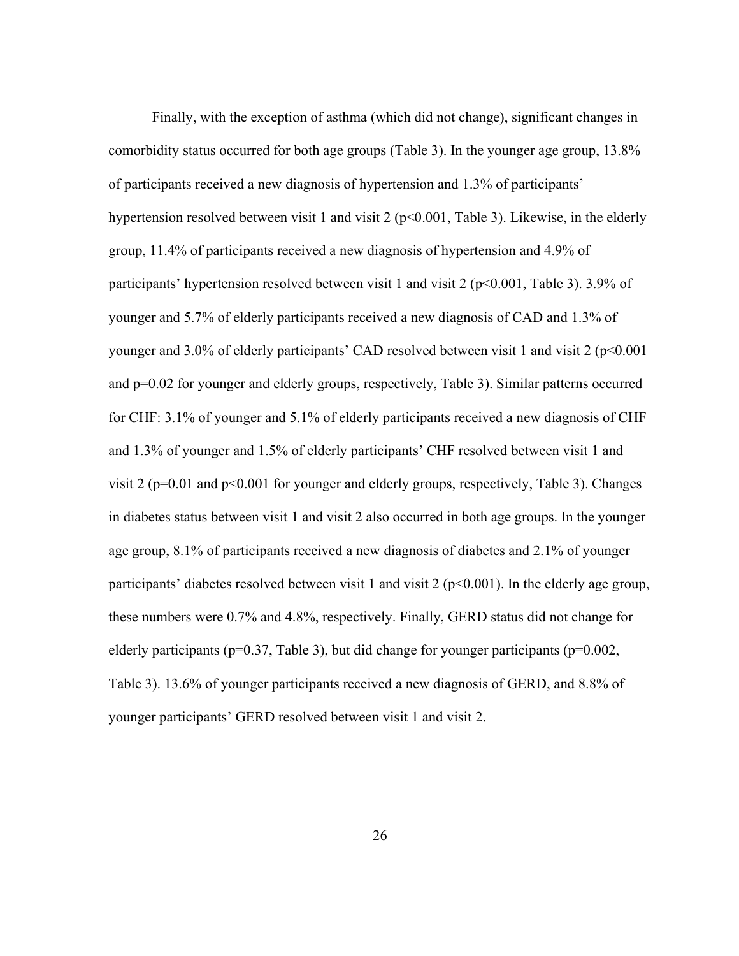Finally, with the exception of asthma (which did not change), significant changes in comorbidity status occurred for both age groups (Table 3). In the younger age group, 13.8% of participants received a new diagnosis of hypertension and 1.3% of participants' hypertension resolved between visit 1 and visit 2 ( $p<0.001$ , Table 3). Likewise, in the elderly group, 11.4% of participants received a new diagnosis of hypertension and 4.9% of participants' hypertension resolved between visit 1 and visit 2 ( $p<0.001$ , Table 3). 3.9% of younger and 5.7% of elderly participants received a new diagnosis of CAD and 1.3% of younger and 3.0% of elderly participants' CAD resolved between visit 1 and visit 2 (p<0.001 and p=0.02 for younger and elderly groups, respectively, Table 3). Similar patterns occurred for CHF: 3.1% of younger and 5.1% of elderly participants received a new diagnosis of CHF and 1.3% of younger and 1.5% of elderly participants' CHF resolved between visit 1 and visit 2 (p=0.01 and p<0.001 for younger and elderly groups, respectively, Table 3). Changes in diabetes status between visit 1 and visit 2 also occurred in both age groups. In the younger age group, 8.1% of participants received a new diagnosis of diabetes and 2.1% of younger participants' diabetes resolved between visit 1 and visit 2 ( $p<0.001$ ). In the elderly age group, these numbers were 0.7% and 4.8%, respectively. Finally, GERD status did not change for elderly participants ( $p=0.37$ , Table 3), but did change for younger participants ( $p=0.002$ , Table 3). 13.6% of younger participants received a new diagnosis of GERD, and 8.8% of younger participants' GERD resolved between visit 1 and visit 2.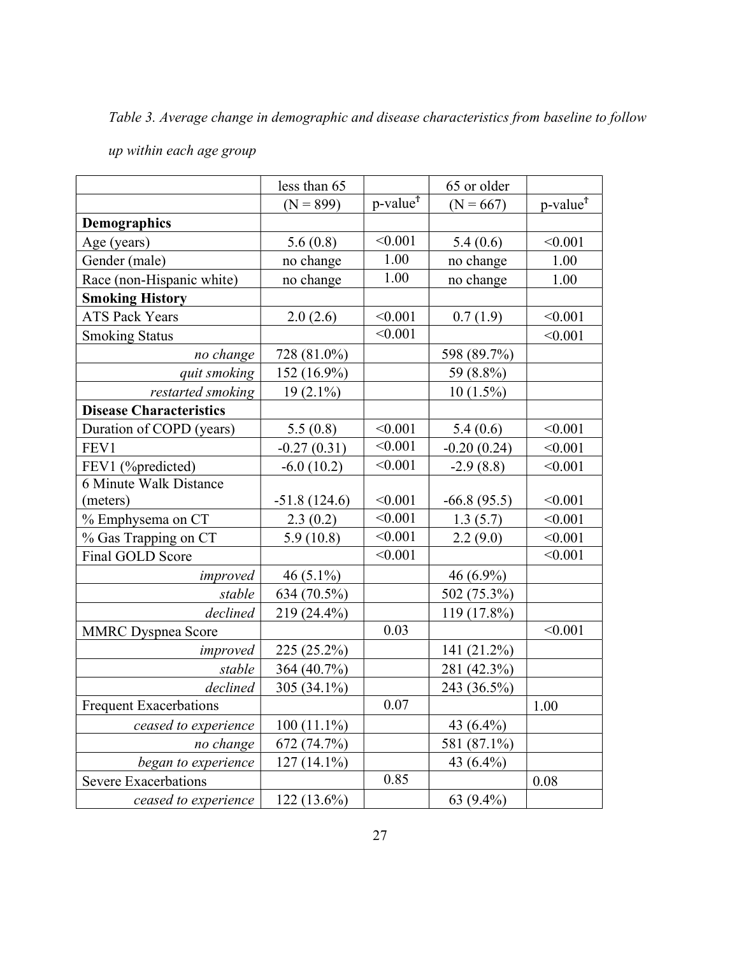Table 3. Average change in demographic and disease characteristics from baseline to follow

|                                | less than 65   |                             | 65 or older   |                                             |
|--------------------------------|----------------|-----------------------------|---------------|---------------------------------------------|
|                                | $(N = 899)$    | p-value <sup><i>f</i></sup> | $(N = 667)$   | $p$ -value <sup><math>\uparrow</math></sup> |
| <b>Demographics</b>            |                |                             |               |                                             |
| Age (years)                    | 5.6(0.8)       | < 0.001                     | 5.4(0.6)      | < 0.001                                     |
| Gender (male)                  | no change      | 1.00                        | no change     | 1.00                                        |
| Race (non-Hispanic white)      | no change      | 1.00                        | no change     | 1.00                                        |
| <b>Smoking History</b>         |                |                             |               |                                             |
| <b>ATS Pack Years</b>          | 2.0(2.6)       | < 0.001                     | 0.7(1.9)      | < 0.001                                     |
| <b>Smoking Status</b>          |                | < 0.001                     |               | < 0.001                                     |
| no change                      | 728 (81.0%)    |                             | 598 (89.7%)   |                                             |
| quit smoking                   | 152 (16.9%)    |                             | 59 (8.8%)     |                                             |
| restarted smoking              | $19(2.1\%)$    |                             | $10(1.5\%)$   |                                             |
| <b>Disease Characteristics</b> |                |                             |               |                                             |
| Duration of COPD (years)       | 5.5(0.8)       | < 0.001                     | 5.4(0.6)      | < 0.001                                     |
| FEV1                           | $-0.27(0.31)$  | < 0.001                     | $-0.20(0.24)$ | < 0.001                                     |
| FEV1 (%predicted)              | $-6.0(10.2)$   | < 0.001                     | $-2.9(8.8)$   | < 0.001                                     |
| 6 Minute Walk Distance         |                |                             |               |                                             |
| (meters)                       | $-51.8(124.6)$ | < 0.001                     | $-66.8(95.5)$ | < 0.001                                     |
| % Emphysema on CT              | 2.3(0.2)       | < 0.001                     | 1.3(5.7)      | < 0.001                                     |
| % Gas Trapping on CT           | 5.9(10.8)      | < 0.001                     | 2.2(9.0)      | < 0.001                                     |
| Final GOLD Score               |                | < 0.001                     |               | < 0.001                                     |
| improved                       | 46 $(5.1\%)$   |                             | 46 (6.9%)     |                                             |
| stable                         | 634 (70.5%)    |                             | 502 (75.3%)   |                                             |
| declined                       | 219 (24.4%)    |                             | $119(17.8\%)$ |                                             |
| <b>MMRC</b> Dyspnea Score      |                | 0.03                        |               | < 0.001                                     |
| improved                       | 225 (25.2%)    |                             | 141 (21.2%)   |                                             |
| stable                         | 364 (40.7%)    |                             | 281 (42.3%)   |                                             |
| declined                       | 305 (34.1%)    |                             | 243 (36.5%)   |                                             |
| <b>Frequent Exacerbations</b>  |                | 0.07                        |               | 1.00                                        |
| ceased to experience           | $100(11.1\%)$  |                             | 43 (6.4%)     |                                             |
| no change                      | 672 (74.7%)    |                             | 581 (87.1%)   |                                             |
| began to experience            | $127(14.1\%)$  |                             | 43 (6.4%)     |                                             |
| <b>Severe Exacerbations</b>    |                | 0.85                        |               | 0.08                                        |
| ceased to experience           | $122(13.6\%)$  |                             | 63 (9.4%)     |                                             |

up within each age group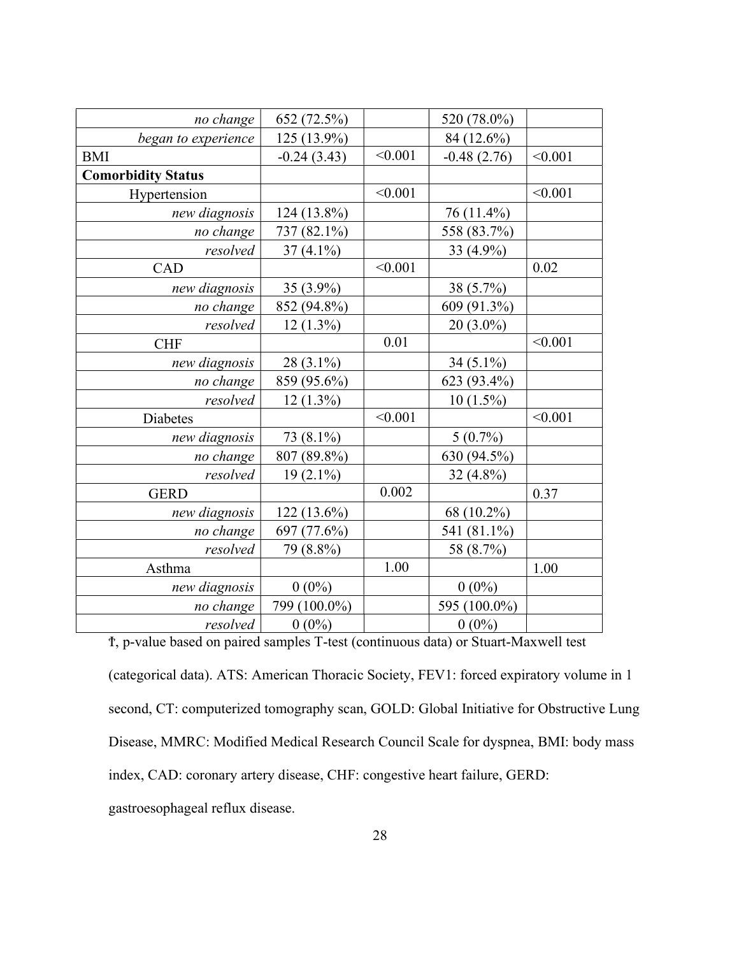| no change                 | 652 (72.5%)   |         | 520 (78.0%)   |         |
|---------------------------|---------------|---------|---------------|---------|
| began to experience       | 125 (13.9%)   |         | 84 (12.6%)    |         |
| <b>BMI</b>                | $-0.24(3.43)$ | < 0.001 | $-0.48(2.76)$ | < 0.001 |
| <b>Comorbidity Status</b> |               |         |               |         |
| Hypertension              |               | < 0.001 |               | < 0.001 |
| new diagnosis             | 124 (13.8%)   |         | 76 (11.4%)    |         |
| no change                 | 737 (82.1%)   |         | 558 (83.7%)   |         |
| resolved                  | $37(4.1\%)$   |         | 33 (4.9%)     |         |
| CAD                       |               | < 0.001 |               | 0.02    |
| new diagnosis             | 35 (3.9%)     |         | 38 (5.7%)     |         |
| no change                 | 852 (94.8%)   |         | 609 (91.3%)   |         |
| resolved                  | $12(1.3\%)$   |         | $20(3.0\%)$   |         |
| <b>CHF</b>                |               | 0.01    |               | < 0.001 |
| new diagnosis             | $28(3.1\%)$   |         | 34 $(5.1\%)$  |         |
| no change                 | 859 (95.6%)   |         | 623 (93.4%)   |         |
| resolved                  | $12(1.3\%)$   |         | $10(1.5\%)$   |         |
| Diabetes                  |               | < 0.001 |               | < 0.001 |
| new diagnosis             | 73 (8.1%)     |         | $5(0.7\%)$    |         |
| no change                 | 807 (89.8%)   |         | 630 (94.5%)   |         |
| resolved                  | $19(2.1\%)$   |         | 32 $(4.8\%)$  |         |
| <b>GERD</b>               |               | 0.002   |               | 0.37    |
| new diagnosis             | 122 (13.6%)   |         | 68 (10.2%)    |         |
| no change                 | 697 (77.6%)   |         | 541 (81.1%)   |         |
| resolved                  | 79 (8.8%)     |         | 58 (8.7%)     |         |
| Asthma                    |               | 1.00    |               | 1.00    |
| new diagnosis             | $0(0\%)$      |         | $0(0\%)$      |         |
| no change                 | 799 (100.0%)  |         | 595 (100.0%)  |         |
| resolved                  | $0(0\%)$      |         | $0(0\%)$      |         |
|                           |               |         |               |         |

Ϯ, p-value based on paired samples T-test (continuous data) or Stuart-Maxwell test

(categorical data). ATS: American Thoracic Society, FEV1: forced expiratory volume in 1 second, CT: computerized tomography scan, GOLD: Global Initiative for Obstructive Lung Disease, MMRC: Modified Medical Research Council Scale for dyspnea, BMI: body mass index, CAD: coronary artery disease, CHF: congestive heart failure, GERD: gastroesophageal reflux disease.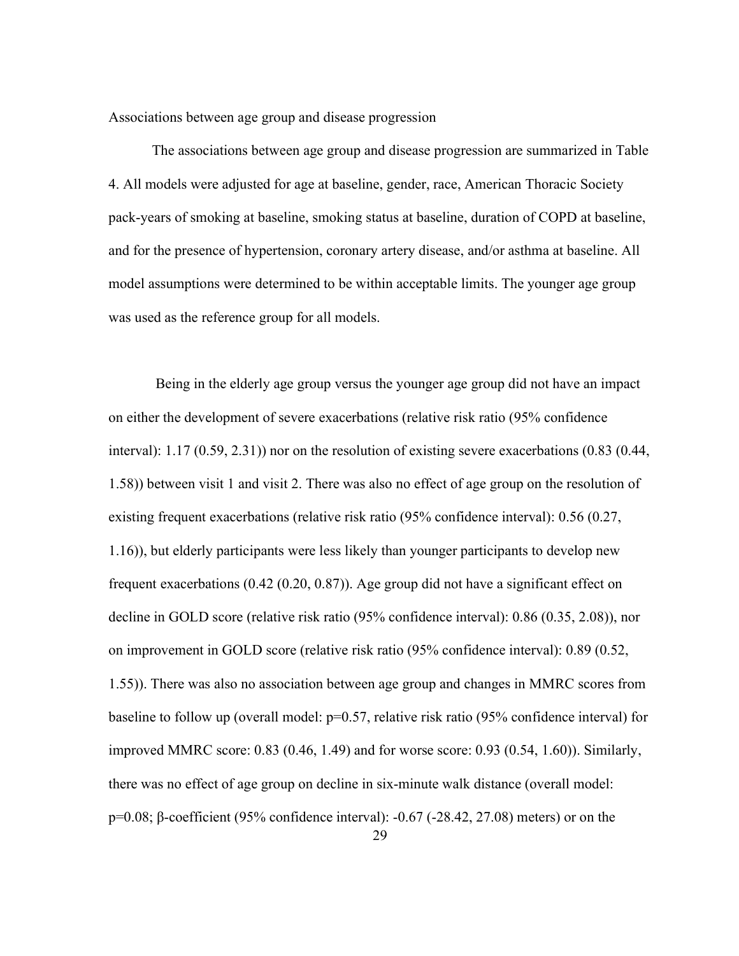Associations between age group and disease progression

The associations between age group and disease progression are summarized in Table 4. All models were adjusted for age at baseline, gender, race, American Thoracic Society pack-years of smoking at baseline, smoking status at baseline, duration of COPD at baseline, and for the presence of hypertension, coronary artery disease, and/or asthma at baseline. All model assumptions were determined to be within acceptable limits. The younger age group was used as the reference group for all models.

 Being in the elderly age group versus the younger age group did not have an impact on either the development of severe exacerbations (relative risk ratio (95% confidence interval): 1.17 (0.59, 2.31)) nor on the resolution of existing severe exacerbations (0.83 (0.44, 1.58)) between visit 1 and visit 2. There was also no effect of age group on the resolution of existing frequent exacerbations (relative risk ratio (95% confidence interval): 0.56 (0.27, 1.16)), but elderly participants were less likely than younger participants to develop new frequent exacerbations (0.42 (0.20, 0.87)). Age group did not have a significant effect on decline in GOLD score (relative risk ratio (95% confidence interval): 0.86 (0.35, 2.08)), nor on improvement in GOLD score (relative risk ratio (95% confidence interval): 0.89 (0.52, 1.55)). There was also no association between age group and changes in MMRC scores from baseline to follow up (overall model: p=0.57, relative risk ratio (95% confidence interval) for improved MMRC score: 0.83 (0.46, 1.49) and for worse score: 0.93 (0.54, 1.60)). Similarly, there was no effect of age group on decline in six-minute walk distance (overall model: p=0.08; β-coefficient (95% confidence interval): -0.67 (-28.42, 27.08) meters) or on the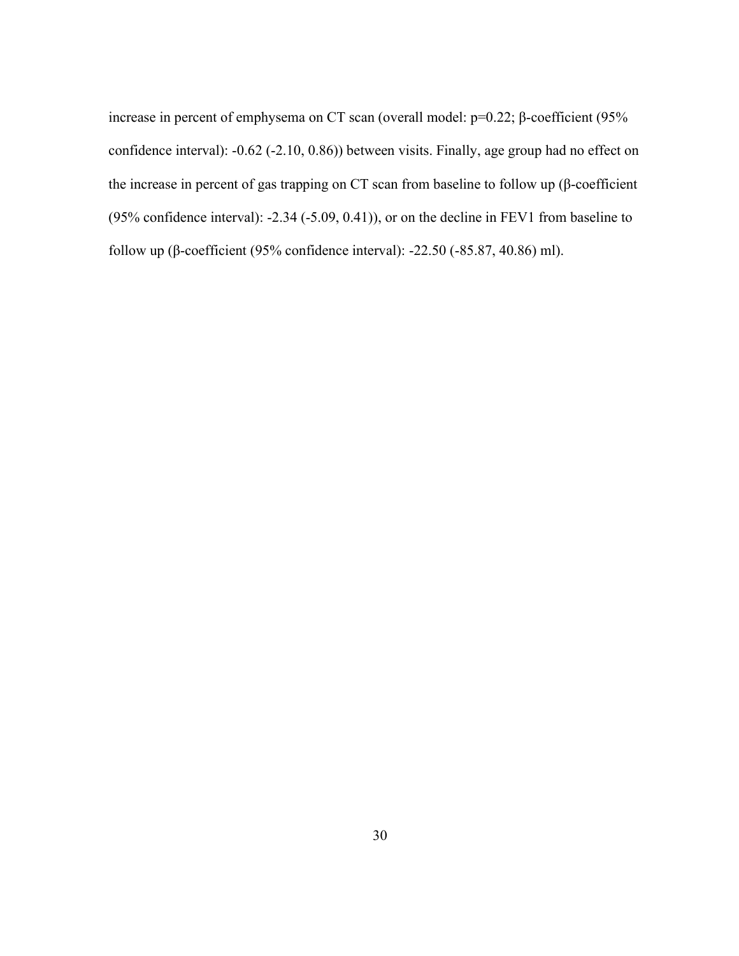increase in percent of emphysema on CT scan (overall model: p=0.22; β-coefficient (95% confidence interval): -0.62 (-2.10, 0.86)) between visits. Finally, age group had no effect on the increase in percent of gas trapping on CT scan from baseline to follow up (β-coefficient (95% confidence interval): -2.34 (-5.09, 0.41)), or on the decline in FEV1 from baseline to follow up (β-coefficient (95% confidence interval): -22.50 (-85.87, 40.86) ml).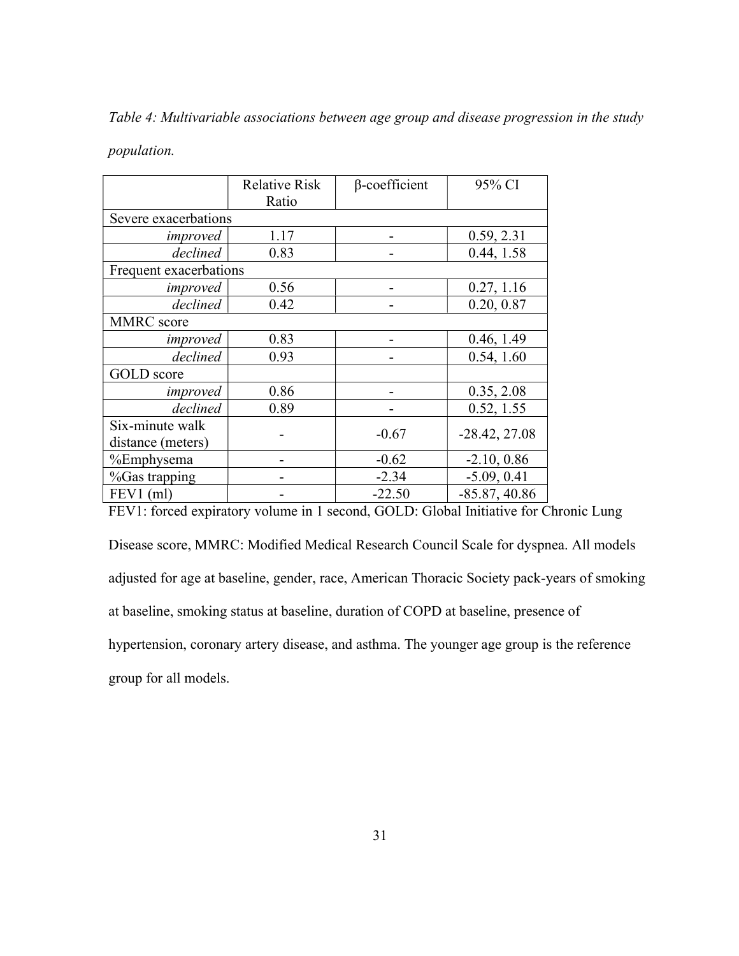Table 4: Multivariable associations between age group and disease progression in the study

population.

|                        | <b>Relative Risk</b> | β-coefficient | 95% CI          |
|------------------------|----------------------|---------------|-----------------|
|                        | Ratio                |               |                 |
| Severe exacerbations   |                      |               |                 |
| improved               | 1.17                 |               | 0.59, 2.31      |
| declined               | 0.83                 |               | 0.44, 1.58      |
| Frequent exacerbations |                      |               |                 |
| improved               | 0.56                 |               | 0.27, 1.16      |
| declined               | 0.42                 |               | 0.20, 0.87      |
| MMRC score             |                      |               |                 |
| improved               | 0.83                 |               | 0.46, 1.49      |
| declined               | 0.93                 |               | 0.54, 1.60      |
| <b>GOLD</b> score      |                      |               |                 |
| improved               | 0.86                 |               | 0.35, 2.08      |
| declined               | 0.89                 |               | 0.52, 1.55      |
| Six-minute walk        |                      | $-0.67$       | $-28.42, 27.08$ |
| distance (meters)      |                      |               |                 |
| %Emphysema             |                      | $-0.62$       | $-2.10, 0.86$   |
| %Gas trapping          |                      | $-2.34$       | $-5.09, 0.41$   |
| $FEV1$ (ml)            |                      | $-22.50$      | $-85.87, 40.86$ |

FEV1: forced expiratory volume in 1 second, GOLD: Global Initiative for Chronic Lung

Disease score, MMRC: Modified Medical Research Council Scale for dyspnea. All models adjusted for age at baseline, gender, race, American Thoracic Society pack-years of smoking at baseline, smoking status at baseline, duration of COPD at baseline, presence of hypertension, coronary artery disease, and asthma. The younger age group is the reference group for all models.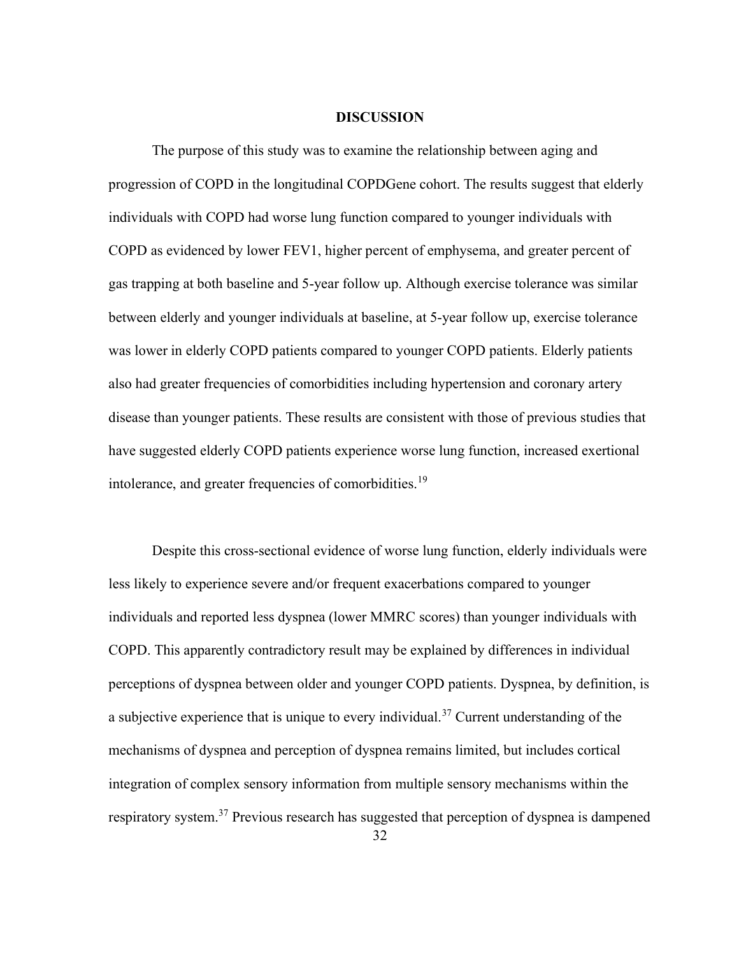#### DISCUSSION

The purpose of this study was to examine the relationship between aging and progression of COPD in the longitudinal COPDGene cohort. The results suggest that elderly individuals with COPD had worse lung function compared to younger individuals with COPD as evidenced by lower FEV1, higher percent of emphysema, and greater percent of gas trapping at both baseline and 5-year follow up. Although exercise tolerance was similar between elderly and younger individuals at baseline, at 5-year follow up, exercise tolerance was lower in elderly COPD patients compared to younger COPD patients. Elderly patients also had greater frequencies of comorbidities including hypertension and coronary artery disease than younger patients. These results are consistent with those of previous studies that have suggested elderly COPD patients experience worse lung function, increased exertional intolerance, and greater frequencies of comorbidities.<sup>19</sup>

Despite this cross-sectional evidence of worse lung function, elderly individuals were less likely to experience severe and/or frequent exacerbations compared to younger individuals and reported less dyspnea (lower MMRC scores) than younger individuals with COPD. This apparently contradictory result may be explained by differences in individual perceptions of dyspnea between older and younger COPD patients. Dyspnea, by definition, is a subjective experience that is unique to every individual.<sup>37</sup> Current understanding of the mechanisms of dyspnea and perception of dyspnea remains limited, but includes cortical integration of complex sensory information from multiple sensory mechanisms within the respiratory system.<sup>37</sup> Previous research has suggested that perception of dyspnea is dampened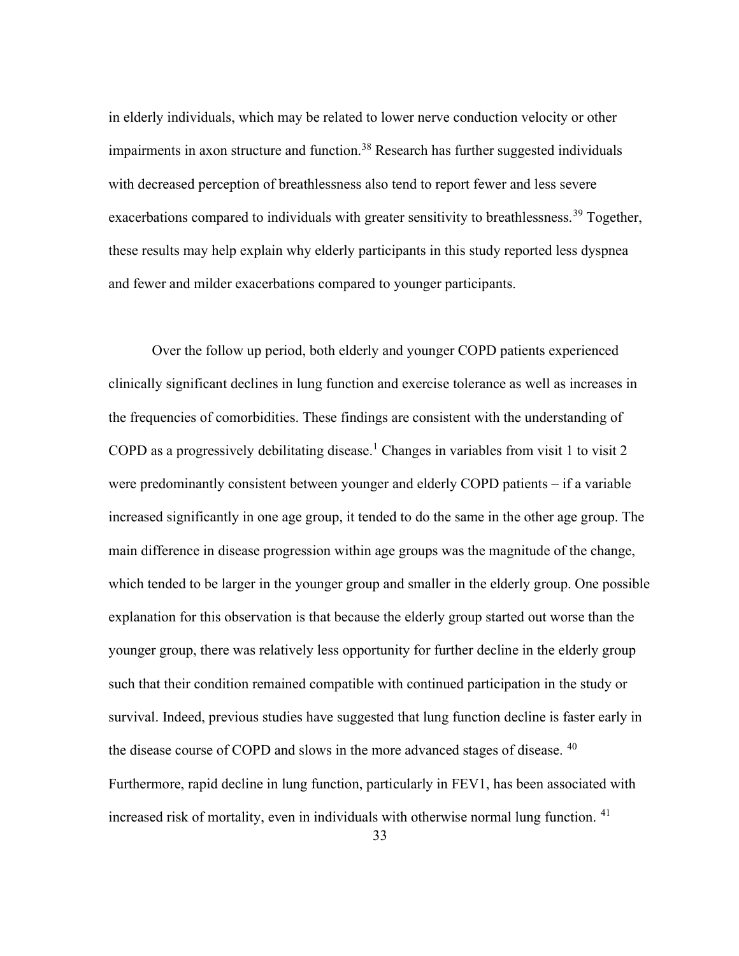in elderly individuals, which may be related to lower nerve conduction velocity or other impairments in axon structure and function.<sup>38</sup> Research has further suggested individuals with decreased perception of breathlessness also tend to report fewer and less severe exacerbations compared to individuals with greater sensitivity to breathlessness.<sup>39</sup> Together, these results may help explain why elderly participants in this study reported less dyspnea and fewer and milder exacerbations compared to younger participants.

Over the follow up period, both elderly and younger COPD patients experienced clinically significant declines in lung function and exercise tolerance as well as increases in the frequencies of comorbidities. These findings are consistent with the understanding of COPD as a progressively debilitating disease.<sup>1</sup> Changes in variables from visit 1 to visit 2 were predominantly consistent between younger and elderly COPD patients – if a variable increased significantly in one age group, it tended to do the same in the other age group. The main difference in disease progression within age groups was the magnitude of the change, which tended to be larger in the younger group and smaller in the elderly group. One possible explanation for this observation is that because the elderly group started out worse than the younger group, there was relatively less opportunity for further decline in the elderly group such that their condition remained compatible with continued participation in the study or survival. Indeed, previous studies have suggested that lung function decline is faster early in the disease course of COPD and slows in the more advanced stages of disease. <sup>40</sup> Furthermore, rapid decline in lung function, particularly in FEV1, has been associated with increased risk of mortality, even in individuals with otherwise normal lung function.  $41$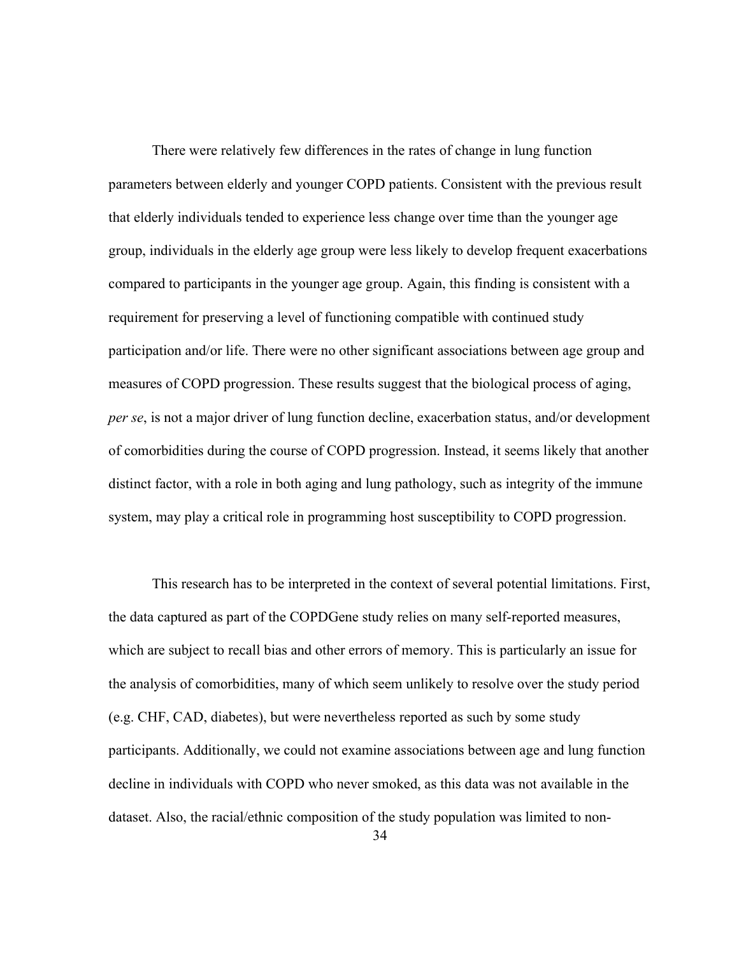There were relatively few differences in the rates of change in lung function parameters between elderly and younger COPD patients. Consistent with the previous result that elderly individuals tended to experience less change over time than the younger age group, individuals in the elderly age group were less likely to develop frequent exacerbations compared to participants in the younger age group. Again, this finding is consistent with a requirement for preserving a level of functioning compatible with continued study participation and/or life. There were no other significant associations between age group and measures of COPD progression. These results suggest that the biological process of aging, per se, is not a major driver of lung function decline, exacerbation status, and/or development of comorbidities during the course of COPD progression. Instead, it seems likely that another distinct factor, with a role in both aging and lung pathology, such as integrity of the immune system, may play a critical role in programming host susceptibility to COPD progression.

This research has to be interpreted in the context of several potential limitations. First, the data captured as part of the COPDGene study relies on many self-reported measures, which are subject to recall bias and other errors of memory. This is particularly an issue for the analysis of comorbidities, many of which seem unlikely to resolve over the study period (e.g. CHF, CAD, diabetes), but were nevertheless reported as such by some study participants. Additionally, we could not examine associations between age and lung function decline in individuals with COPD who never smoked, as this data was not available in the dataset. Also, the racial/ethnic composition of the study population was limited to non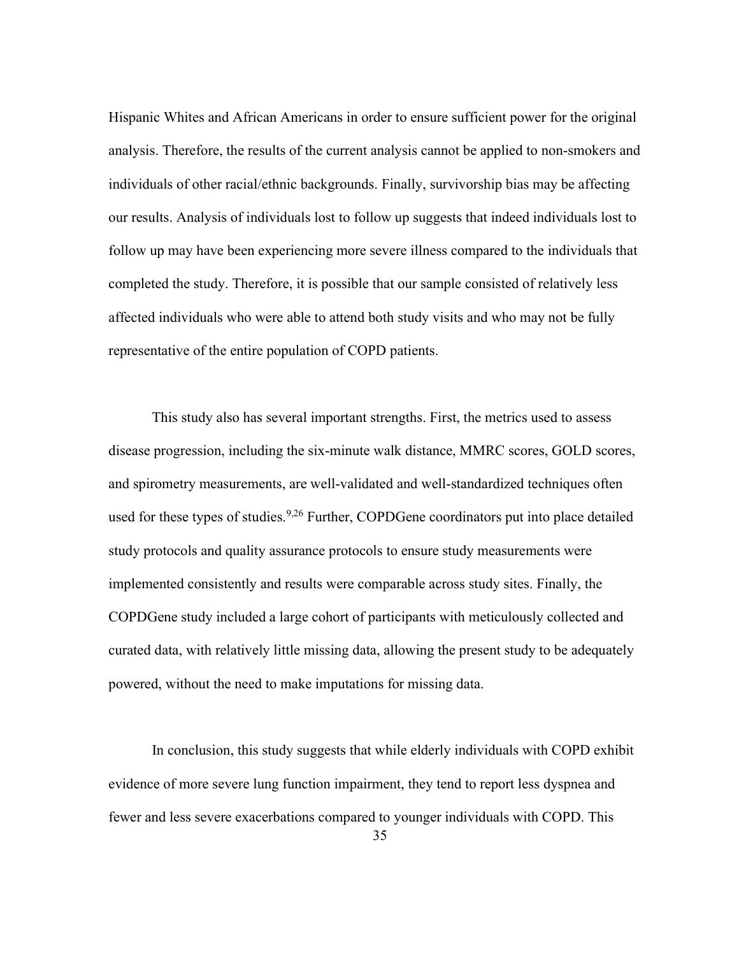Hispanic Whites and African Americans in order to ensure sufficient power for the original analysis. Therefore, the results of the current analysis cannot be applied to non-smokers and individuals of other racial/ethnic backgrounds. Finally, survivorship bias may be affecting our results. Analysis of individuals lost to follow up suggests that indeed individuals lost to follow up may have been experiencing more severe illness compared to the individuals that completed the study. Therefore, it is possible that our sample consisted of relatively less affected individuals who were able to attend both study visits and who may not be fully representative of the entire population of COPD patients.

This study also has several important strengths. First, the metrics used to assess disease progression, including the six-minute walk distance, MMRC scores, GOLD scores, and spirometry measurements, are well-validated and well-standardized techniques often used for these types of studies.<sup>9,26</sup> Further, COPDGene coordinators put into place detailed study protocols and quality assurance protocols to ensure study measurements were implemented consistently and results were comparable across study sites. Finally, the COPDGene study included a large cohort of participants with meticulously collected and curated data, with relatively little missing data, allowing the present study to be adequately powered, without the need to make imputations for missing data.

In conclusion, this study suggests that while elderly individuals with COPD exhibit evidence of more severe lung function impairment, they tend to report less dyspnea and fewer and less severe exacerbations compared to younger individuals with COPD. This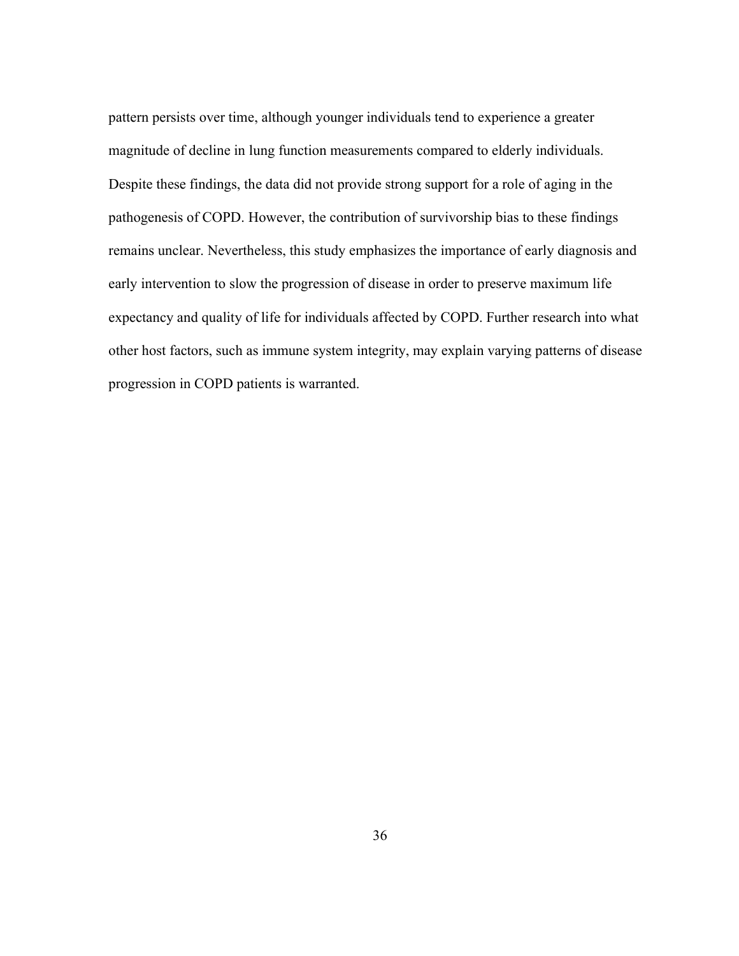pattern persists over time, although younger individuals tend to experience a greater magnitude of decline in lung function measurements compared to elderly individuals. Despite these findings, the data did not provide strong support for a role of aging in the pathogenesis of COPD. However, the contribution of survivorship bias to these findings remains unclear. Nevertheless, this study emphasizes the importance of early diagnosis and early intervention to slow the progression of disease in order to preserve maximum life expectancy and quality of life for individuals affected by COPD. Further research into what other host factors, such as immune system integrity, may explain varying patterns of disease progression in COPD patients is warranted.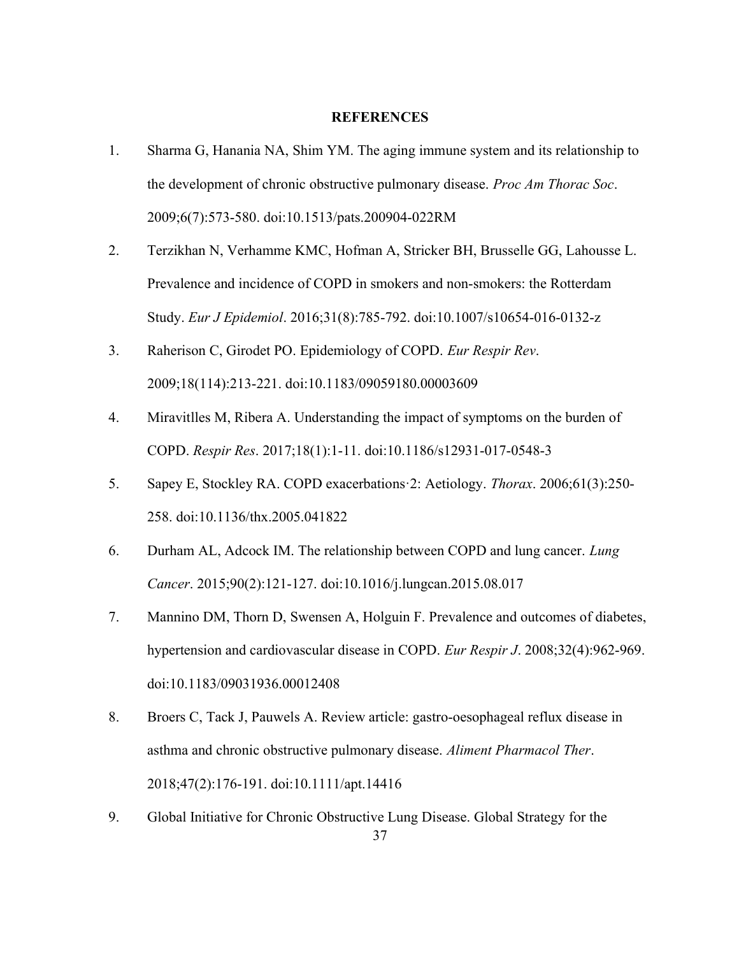#### **REFERENCES**

- 1. Sharma G, Hanania NA, Shim YM. The aging immune system and its relationship to the development of chronic obstructive pulmonary disease. Proc Am Thorac Soc. 2009;6(7):573-580. doi:10.1513/pats.200904-022RM
- 2. Terzikhan N, Verhamme KMC, Hofman A, Stricker BH, Brusselle GG, Lahousse L. Prevalence and incidence of COPD in smokers and non-smokers: the Rotterdam Study. Eur J Epidemiol. 2016;31(8):785-792. doi:10.1007/s10654-016-0132-z
- 3. Raherison C, Girodet PO. Epidemiology of COPD. Eur Respir Rev. 2009;18(114):213-221. doi:10.1183/09059180.00003609
- 4. Miravitlles M, Ribera A. Understanding the impact of symptoms on the burden of COPD. Respir Res. 2017;18(1):1-11. doi:10.1186/s12931-017-0548-3
- 5. Sapey E, Stockley RA. COPD exacerbations·2: Aetiology. Thorax. 2006;61(3):250- 258. doi:10.1136/thx.2005.041822
- 6. Durham AL, Adcock IM. The relationship between COPD and lung cancer. Lung Cancer. 2015;90(2):121-127. doi:10.1016/j.lungcan.2015.08.017
- 7. Mannino DM, Thorn D, Swensen A, Holguin F. Prevalence and outcomes of diabetes, hypertension and cardiovascular disease in COPD. Eur Respir J. 2008;32(4):962-969. doi:10.1183/09031936.00012408
- 8. Broers C, Tack J, Pauwels A. Review article: gastro-oesophageal reflux disease in asthma and chronic obstructive pulmonary disease. Aliment Pharmacol Ther. 2018;47(2):176-191. doi:10.1111/apt.14416
- 37 9. Global Initiative for Chronic Obstructive Lung Disease. Global Strategy for the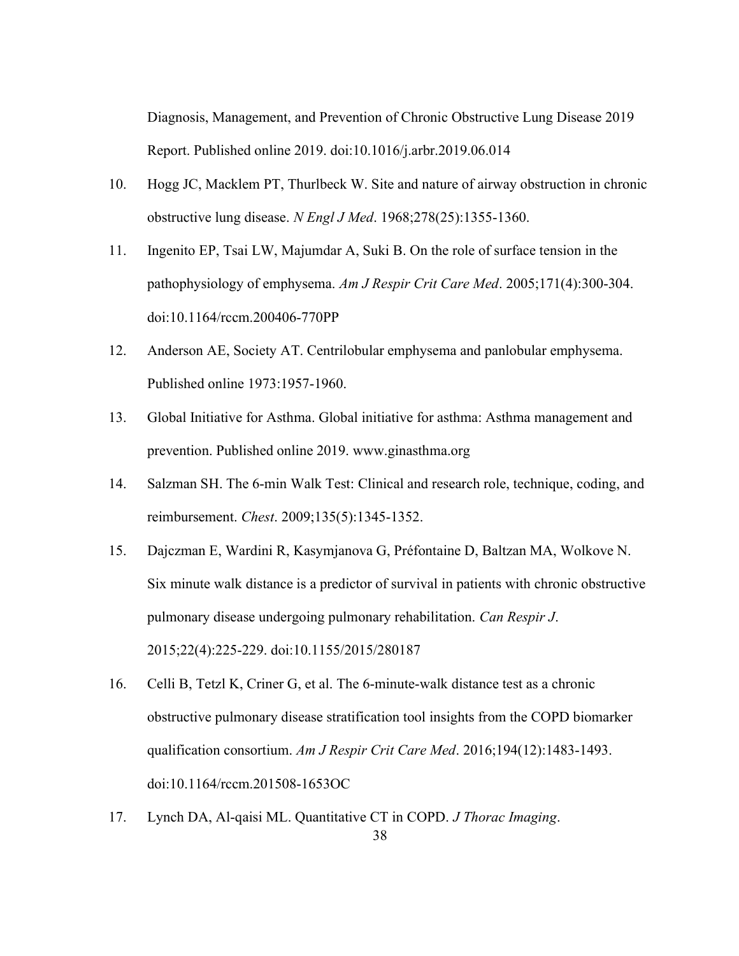Diagnosis, Management, and Prevention of Chronic Obstructive Lung Disease 2019 Report. Published online 2019. doi:10.1016/j.arbr.2019.06.014

- 10. Hogg JC, Macklem PT, Thurlbeck W. Site and nature of airway obstruction in chronic obstructive lung disease. N Engl J Med. 1968;278(25):1355-1360.
- 11. Ingenito EP, Tsai LW, Majumdar A, Suki B. On the role of surface tension in the pathophysiology of emphysema. Am J Respir Crit Care Med. 2005;171(4):300-304. doi:10.1164/rccm.200406-770PP
- 12. Anderson AE, Society AT. Centrilobular emphysema and panlobular emphysema. Published online 1973:1957-1960.
- 13. Global Initiative for Asthma. Global initiative for asthma: Asthma management and prevention. Published online 2019. www.ginasthma.org
- 14. Salzman SH. The 6-min Walk Test: Clinical and research role, technique, coding, and reimbursement. Chest. 2009;135(5):1345-1352.
- 15. Dajczman E, Wardini R, Kasymjanova G, Préfontaine D, Baltzan MA, Wolkove N. Six minute walk distance is a predictor of survival in patients with chronic obstructive pulmonary disease undergoing pulmonary rehabilitation. Can Respir J. 2015;22(4):225-229. doi:10.1155/2015/280187
- 16. Celli B, Tetzl K, Criner G, et al. The 6-minute-walk distance test as a chronic obstructive pulmonary disease stratification tool insights from the COPD biomarker qualification consortium. Am J Respir Crit Care Med. 2016;194(12):1483-1493. doi:10.1164/rccm.201508-1653OC
- 17. Lynch DA, Al-qaisi ML. Quantitative CT in COPD. J Thorac Imaging.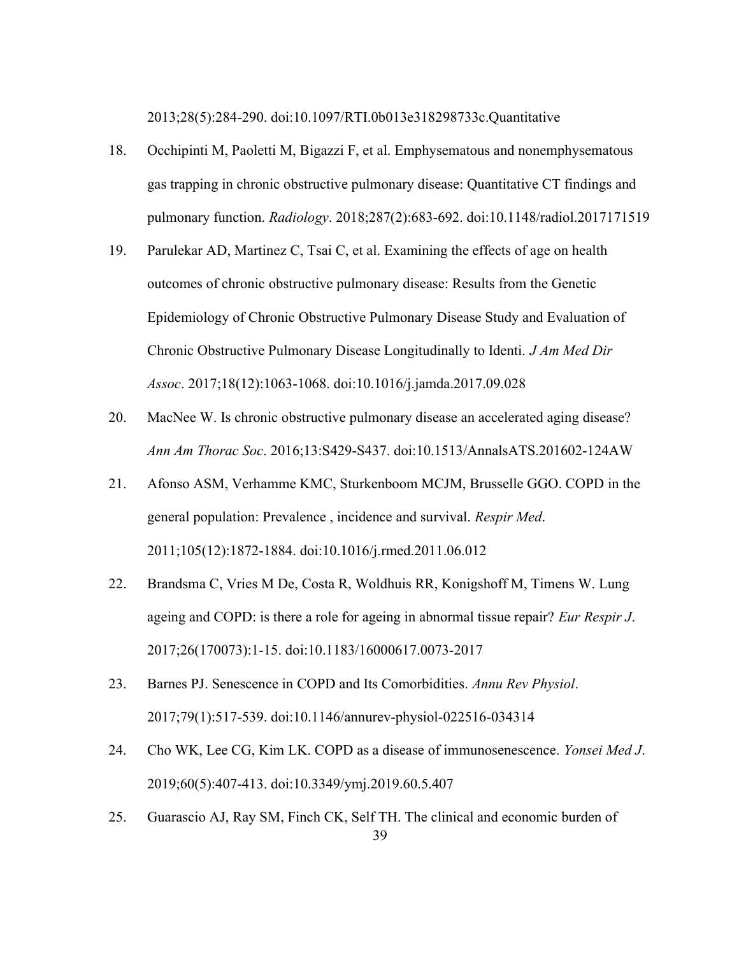2013;28(5):284-290. doi:10.1097/RTI.0b013e318298733c.Quantitative

- 18. Occhipinti M, Paoletti M, Bigazzi F, et al. Emphysematous and nonemphysematous gas trapping in chronic obstructive pulmonary disease: Quantitative CT findings and pulmonary function. Radiology. 2018;287(2):683-692. doi:10.1148/radiol.2017171519
- 19. Parulekar AD, Martinez C, Tsai C, et al. Examining the effects of age on health outcomes of chronic obstructive pulmonary disease: Results from the Genetic Epidemiology of Chronic Obstructive Pulmonary Disease Study and Evaluation of Chronic Obstructive Pulmonary Disease Longitudinally to Identi. J Am Med Dir Assoc. 2017;18(12):1063-1068. doi:10.1016/j.jamda.2017.09.028
- 20. MacNee W. Is chronic obstructive pulmonary disease an accelerated aging disease? Ann Am Thorac Soc. 2016;13:S429-S437. doi:10.1513/AnnalsATS.201602-124AW
- 21. Afonso ASM, Verhamme KMC, Sturkenboom MCJM, Brusselle GGO. COPD in the general population: Prevalence, incidence and survival. Respir Med. 2011;105(12):1872-1884. doi:10.1016/j.rmed.2011.06.012
- 22. Brandsma C, Vries M De, Costa R, Woldhuis RR, Konigshoff M, Timens W. Lung ageing and COPD: is there a role for ageing in abnormal tissue repair? Eur Respir J. 2017;26(170073):1-15. doi:10.1183/16000617.0073-2017
- 23. Barnes PJ. Senescence in COPD and Its Comorbidities. Annu Rev Physiol. 2017;79(1):517-539. doi:10.1146/annurev-physiol-022516-034314
- 24. Cho WK, Lee CG, Kim LK. COPD as a disease of immunosenescence. Yonsei Med J. 2019;60(5):407-413. doi:10.3349/ymj.2019.60.5.407
- 39 25. Guarascio AJ, Ray SM, Finch CK, Self TH. The clinical and economic burden of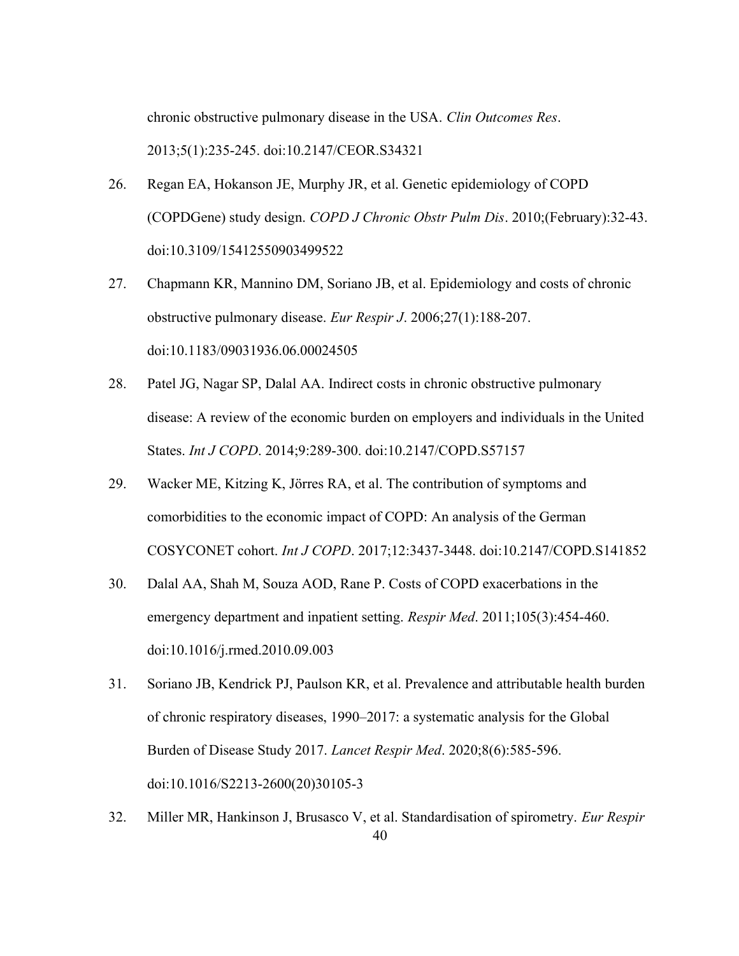chronic obstructive pulmonary disease in the USA. Clin Outcomes Res. 2013;5(1):235-245. doi:10.2147/CEOR.S34321

- 26. Regan EA, Hokanson JE, Murphy JR, et al. Genetic epidemiology of COPD (COPDGene) study design. COPD J Chronic Obstr Pulm Dis. 2010;(February):32-43. doi:10.3109/15412550903499522
- 27. Chapmann KR, Mannino DM, Soriano JB, et al. Epidemiology and costs of chronic obstructive pulmonary disease. Eur Respir J. 2006;27(1):188-207. doi:10.1183/09031936.06.00024505
- 28. Patel JG, Nagar SP, Dalal AA. Indirect costs in chronic obstructive pulmonary disease: A review of the economic burden on employers and individuals in the United States. Int J COPD. 2014;9:289-300. doi:10.2147/COPD.S57157
- 29. Wacker ME, Kitzing K, Jörres RA, et al. The contribution of symptoms and comorbidities to the economic impact of COPD: An analysis of the German COSYCONET cohort. Int J COPD. 2017;12:3437-3448. doi:10.2147/COPD.S141852
- 30. Dalal AA, Shah M, Souza AOD, Rane P. Costs of COPD exacerbations in the emergency department and inpatient setting. Respir Med. 2011;105(3):454-460. doi:10.1016/j.rmed.2010.09.003
- 31. Soriano JB, Kendrick PJ, Paulson KR, et al. Prevalence and attributable health burden of chronic respiratory diseases, 1990–2017: a systematic analysis for the Global Burden of Disease Study 2017. Lancet Respir Med. 2020;8(6):585-596. doi:10.1016/S2213-2600(20)30105-3
- 40 32. Miller MR, Hankinson J, Brusasco V, et al. Standardisation of spirometry. Eur Respir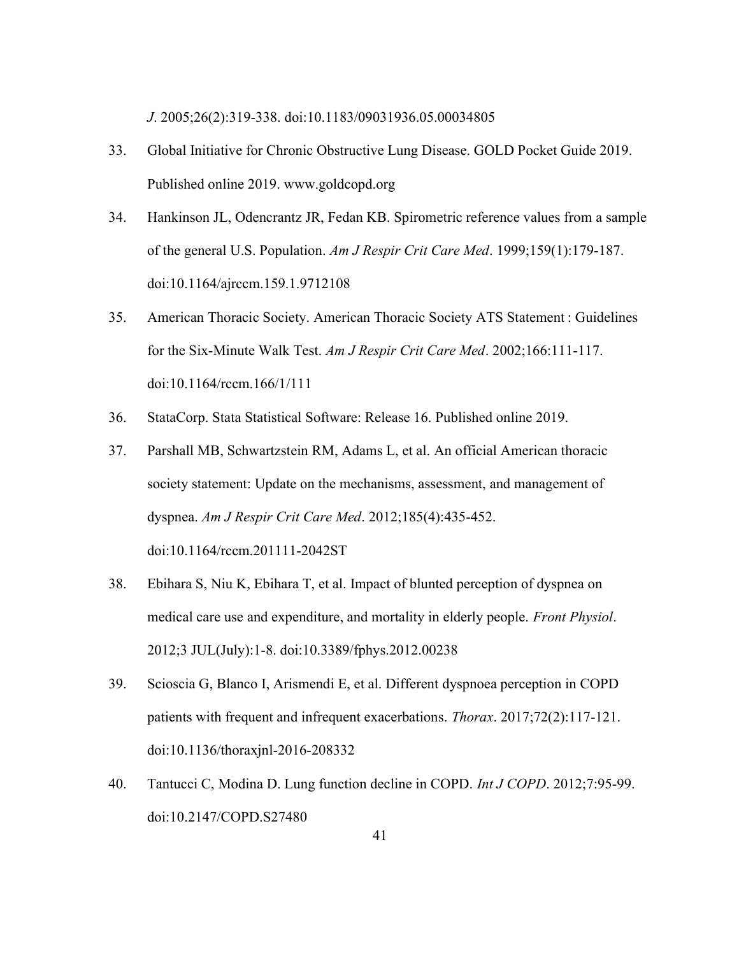J. 2005;26(2):319-338. doi:10.1183/09031936.05.00034805

- 33. Global Initiative for Chronic Obstructive Lung Disease. GOLD Pocket Guide 2019. Published online 2019. www.goldcopd.org
- 34. Hankinson JL, Odencrantz JR, Fedan KB. Spirometric reference values from a sample of the general U.S. Population. Am J Respir Crit Care Med. 1999;159(1):179-187. doi:10.1164/ajrccm.159.1.9712108
- 35. American Thoracic Society. American Thoracic Society ATS Statement : Guidelines for the Six-Minute Walk Test. Am J Respir Crit Care Med. 2002;166:111-117. doi:10.1164/rccm.166/1/111
- 36. StataCorp. Stata Statistical Software: Release 16. Published online 2019.
- 37. Parshall MB, Schwartzstein RM, Adams L, et al. An official American thoracic society statement: Update on the mechanisms, assessment, and management of dyspnea. Am J Respir Crit Care Med. 2012;185(4):435-452. doi:10.1164/rccm.201111-2042ST
- 38. Ebihara S, Niu K, Ebihara T, et al. Impact of blunted perception of dyspnea on medical care use and expenditure, and mortality in elderly people. Front Physiol. 2012;3 JUL(July):1-8. doi:10.3389/fphys.2012.00238
- 39. Scioscia G, Blanco I, Arismendi E, et al. Different dyspnoea perception in COPD patients with frequent and infrequent exacerbations. Thorax. 2017;72(2):117-121. doi:10.1136/thoraxjnl-2016-208332
- 40. Tantucci C, Modina D. Lung function decline in COPD. Int J COPD. 2012;7:95-99. doi:10.2147/COPD.S27480